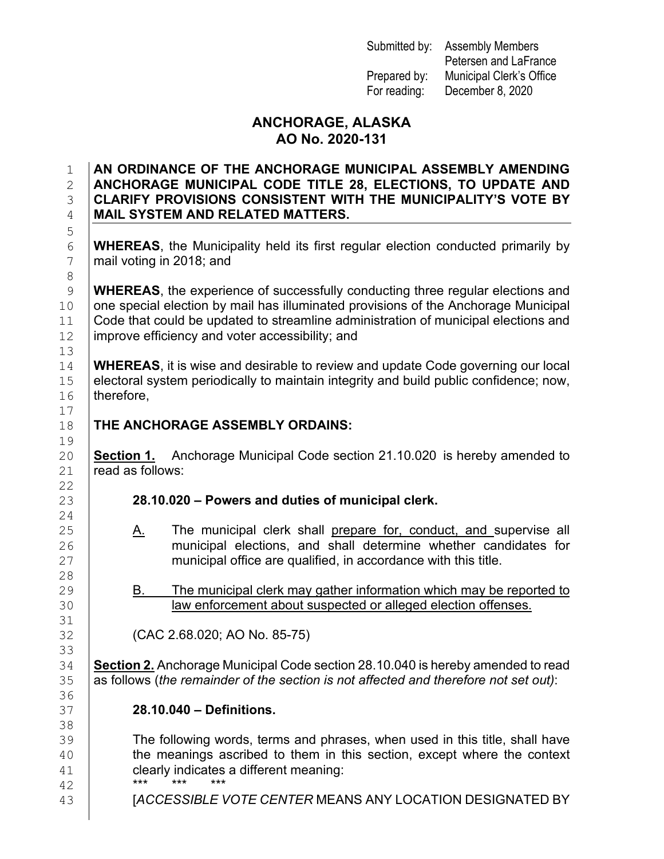Submitted by: Assembly Members

Petersen and LaFrance Prepared by: Municipal Clerk's Office For reading: December 8, 2020

## **ANCHORAGE, ALASKA AO No. 2020-131**

### 1 **AN ORDINANCE OF THE ANCHORAGE MUNICIPAL ASSEMBLY AMENDING**  2 **ANCHORAGE MUNICIPAL CODE TITLE 28, ELECTIONS, TO UPDATE AND**  3 **CLARIFY PROVISIONS CONSISTENT WITH THE MUNICIPALITY'S VOTE BY**  4 **MAIL SYSTEM AND RELATED MATTERS.**

6 **WHEREAS**, the Municipality held its first regular election conducted primarily by mail voting in 2018: and mail voting in 2018; and

9 **WHEREAS**, the experience of successfully conducting three regular elections and one special election by mail has illuminated provisions of the Anchorage Municipal 10 one special election by mail has illuminated provisions of the Anchorage Municipal<br>11 Code that could be updated to streamline administration of municipal elections and 11 Code that could be updated to streamline administration of municipal elections and l<br>12 improve efficiency and voter accessibility: and improve efficiency and voter accessibility; and

14 **WHEREAS**, it is wise and desirable to review and update Code governing our local<br>15 electoral system periodically to maintain integrity and build public confidence; now, 15 electoral system periodically to maintain integrity and build public confidence; now,<br>16 therefore. therefore.

# **THE ANCHORAGE ASSEMBLY ORDAINS:**

20 **Section 1.** Anchorage Municipal Code section 21.10.020 is hereby amended to  $21$  read as follows:  $\overline{\text{read}}$  as follows:

# 23 **28.10.020 – Powers and duties of municipal clerk.**

- 25 A. The municipal clerk shall prepare for, conduct, and supervise all<br>26 **A. Construent in the municipal elections**, and shall determine whether candidates for 26 municipal elections, and shall determine whether candidates for <br>27 municipal office are qualified, in accordance with this title. municipal office are qualified, in accordance with this title.
- 29 B. The municipal clerk may gather information which may be reported to local pay be reported to alleased or alleaed election offenses. law enforcement about suspected or alleged election offenses.

32 (CAC 2.68.020; AO No. 85-75)

34 **Section 2.** Anchorage Municipal Code section 28.10.040 is hereby amended to read<br>35 as follows (*the remainder of the section is not affected and therefore not set out*): as follows (*the remainder of the section is not affected and therefore not set out*):

## 37 **28.10.040 – Definitions.**

39 The following words, terms and phrases, when used in this title, shall have<br>40 the meanings ascribed to them in this section, except where the context the meanings ascribed to them in this section, except where the context 41 clearly indicates a different meaning:<br>42 \*\*\* \*\*\* \*\*\* \*\*\* \*\*\* 42 \*\*\* \*\*\* \*\*\* 43 [*ACCESSIBLE VOTE CENTER* MEANS ANY LOCATION DESIGNATED BY

5 8<br>9 13<br>14  $\begin{array}{c} 17 \\ 18 \end{array}$  $\begin{array}{c} 19 \\ 20 \end{array}$  $\begin{array}{c} 22 \\ 23 \end{array}$  $\frac{24}{25}$  $\frac{28}{29}$ 31<br>32 33<br>34 36<br>37 38<br>39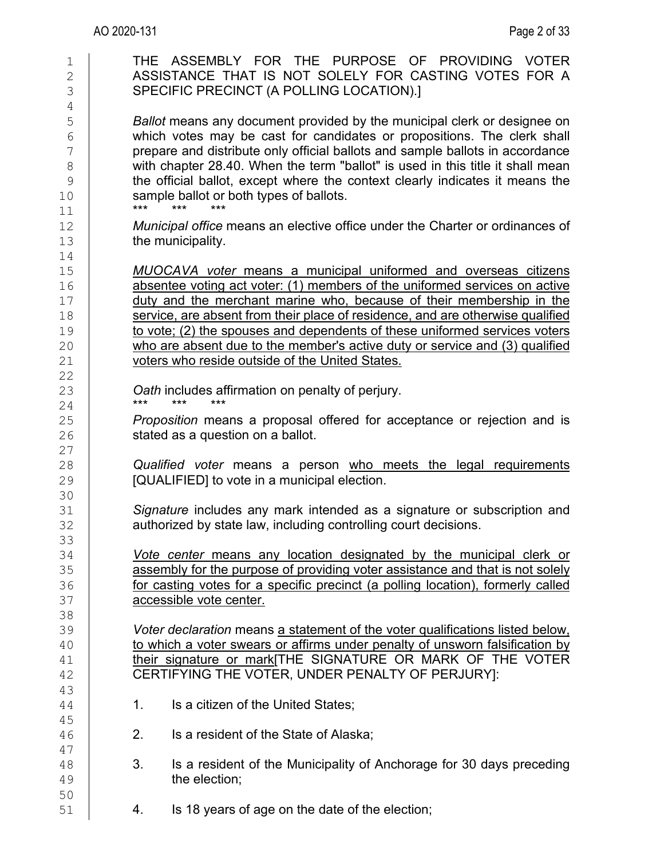| 1<br>$\overline{2}$<br>3<br>$\overline{4}$   | THE ASSEMBLY FOR THE PURPOSE OF PROVIDING VOTER<br>ASSISTANCE THAT IS NOT SOLELY FOR CASTING VOTES FOR A<br>SPECIFIC PRECINCT (A POLLING LOCATION).]                                                                                                                                                                                                                                                                                                                                                                           |
|----------------------------------------------|--------------------------------------------------------------------------------------------------------------------------------------------------------------------------------------------------------------------------------------------------------------------------------------------------------------------------------------------------------------------------------------------------------------------------------------------------------------------------------------------------------------------------------|
| 5<br>6<br>7<br>$\,8\,$<br>9<br>10<br>11      | Ballot means any document provided by the municipal clerk or designee on<br>which votes may be cast for candidates or propositions. The clerk shall<br>prepare and distribute only official ballots and sample ballots in accordance<br>with chapter 28.40. When the term "ballot" is used in this title it shall mean<br>the official ballot, except where the context clearly indicates it means the<br>sample ballot or both types of ballots.<br>***<br>***                                                                |
| 12<br>13<br>14                               | Municipal office means an elective office under the Charter or ordinances of<br>the municipality.                                                                                                                                                                                                                                                                                                                                                                                                                              |
| 15<br>16<br>17<br>18<br>19<br>20<br>21<br>22 | <b>MUOCAVA</b> voter means a municipal uniformed and overseas citizens<br>absentee voting act voter: (1) members of the uniformed services on active<br>duty and the merchant marine who, because of their membership in the<br>service, are absent from their place of residence, and are otherwise qualified<br>to vote; (2) the spouses and dependents of these uniformed services voters<br>who are absent due to the member's active duty or service and (3) qualified<br>voters who reside outside of the United States. |
| 23                                           | Oath includes affirmation on penalty of perjury.<br>$***$<br>***<br>***                                                                                                                                                                                                                                                                                                                                                                                                                                                        |
| 24<br>25<br>26<br>27                         | <i>Proposition</i> means a proposal offered for acceptance or rejection and is<br>stated as a question on a ballot.                                                                                                                                                                                                                                                                                                                                                                                                            |
| 28<br>29<br>30                               | Qualified voter means a person who meets the legal requirements<br>[QUALIFIED] to vote in a municipal election.                                                                                                                                                                                                                                                                                                                                                                                                                |
| 31<br>32<br>33                               | Signature includes any mark intended as a signature or subscription and<br>authorized by state law, including controlling court decisions.                                                                                                                                                                                                                                                                                                                                                                                     |
| 34<br>35<br>36<br>37<br>38                   | Vote center means any location designated by the municipal clerk or<br>assembly for the purpose of providing voter assistance and that is not solely<br>for casting votes for a specific precinct (a polling location), formerly called<br>accessible vote center.                                                                                                                                                                                                                                                             |
| 39<br>40<br>41<br>42<br>43                   | Voter declaration means a statement of the voter qualifications listed below,<br>to which a voter swears or affirms under penalty of unsworn falsification by<br>their signature or mark[THE SIGNATURE OR MARK OF THE VOTER<br>CERTIFYING THE VOTER, UNDER PENALTY OF PERJURY]:                                                                                                                                                                                                                                                |
| 44<br>45                                     | Is a citizen of the United States;<br>1.                                                                                                                                                                                                                                                                                                                                                                                                                                                                                       |
| 46<br>47                                     | 2.<br>Is a resident of the State of Alaska;                                                                                                                                                                                                                                                                                                                                                                                                                                                                                    |
| 48<br>49<br>50                               | 3.<br>Is a resident of the Municipality of Anchorage for 30 days preceding<br>the election;                                                                                                                                                                                                                                                                                                                                                                                                                                    |
| 51                                           | Is 18 years of age on the date of the election;<br>4.                                                                                                                                                                                                                                                                                                                                                                                                                                                                          |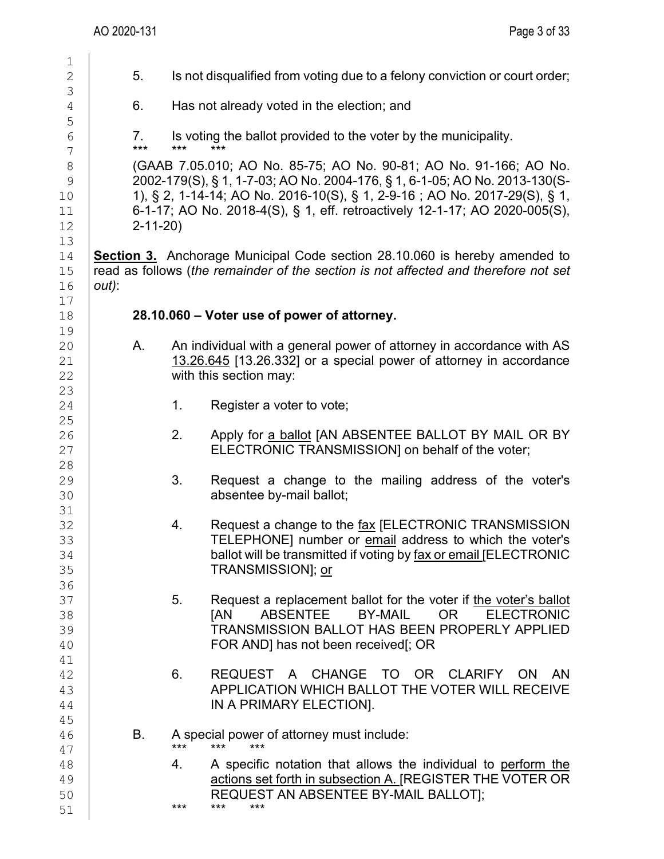| $\mathbf 1$<br>$\overline{2}$ | 5.          |               | Is not disqualified from voting due to a felony conviction or court order;                                                         |
|-------------------------------|-------------|---------------|------------------------------------------------------------------------------------------------------------------------------------|
|                               |             |               |                                                                                                                                    |
| 3                             |             |               |                                                                                                                                    |
| $\sqrt{4}$                    | 6.          |               | Has not already voted in the election; and                                                                                         |
| 5                             |             |               |                                                                                                                                    |
| $\sqrt{6}$                    | 7.<br>$***$ | $***$         | Is voting the ballot provided to the voter by the municipality.<br>$***$                                                           |
| $\sqrt{}$                     |             |               |                                                                                                                                    |
| $\,8\,$                       |             |               | (GAAB 7.05.010; AO No. 85-75; AO No. 90-81; AO No. 91-166; AO No.                                                                  |
| $\mathcal{G}$                 |             |               | 2002-179(S), § 1, 1-7-03; AO No. 2004-176, § 1, 6-1-05; AO No. 2013-130(S-                                                         |
| 10                            |             |               | 1), § 2, 1-14-14; AO No. 2016-10(S), § 1, 2-9-16; AO No. 2017-29(S), § 1,                                                          |
| 11                            |             |               | 6-1-17; AO No. 2018-4(S), § 1, eff. retroactively 12-1-17; AO 2020-005(S),                                                         |
| 12                            |             | $2 - 11 - 20$ |                                                                                                                                    |
| 13                            |             |               |                                                                                                                                    |
| 14                            |             |               | <b>Section 3.</b> Anchorage Municipal Code section 28.10.060 is hereby amended to                                                  |
| 15                            |             |               | read as follows (the remainder of the section is not affected and therefore not set                                                |
| 16                            | $out)$ :    |               |                                                                                                                                    |
| 17                            |             |               |                                                                                                                                    |
| 18                            |             |               | 28.10.060 – Voter use of power of attorney.                                                                                        |
| 19                            |             |               |                                                                                                                                    |
| 20                            | А.          |               | An individual with a general power of attorney in accordance with AS                                                               |
| 21                            |             |               | 13.26.645 [13.26.332] or a special power of attorney in accordance                                                                 |
| 22                            |             |               | with this section may:                                                                                                             |
| 23                            |             |               |                                                                                                                                    |
| 24                            |             | 1.            | Register a voter to vote;                                                                                                          |
| 25                            |             |               |                                                                                                                                    |
| 26                            |             | 2.            | Apply for a ballot [AN ABSENTEE BALLOT BY MAIL OR BY                                                                               |
| 27                            |             |               | ELECTRONIC TRANSMISSION] on behalf of the voter;                                                                                   |
| 28                            |             |               |                                                                                                                                    |
| 29                            |             | 3.            | Request a change to the mailing address of the voter's                                                                             |
| 30                            |             |               | absentee by-mail ballot;                                                                                                           |
| 31                            |             |               |                                                                                                                                    |
| 32                            |             | 4.            | Request a change to the fax [ELECTRONIC TRANSMISSION                                                                               |
| 33                            |             |               | TELEPHONE] number or email address to which the voter's                                                                            |
| 34                            |             |               | ballot will be transmitted if voting by fax or email JELECTRONIC                                                                   |
| 35                            |             |               | TRANSMISSION]; or                                                                                                                  |
| 36                            |             |               |                                                                                                                                    |
| 37                            |             | 5.            | Request a replacement ballot for the voter if the voter's ballot                                                                   |
| 38                            |             |               | <b>ABSENTEE</b><br><b>BY-MAIL</b><br><b>OR</b><br><b>ELECTRONIC</b><br><b>TAN</b><br>TRANSMISSION BALLOT HAS BEEN PROPERLY APPLIED |
| 39                            |             |               |                                                                                                                                    |
| 40                            |             |               | FOR AND] has not been received[; OR                                                                                                |
| 41                            |             | 6.            | <b>CHANGE</b><br>TO OR<br>CLARIFY<br><b>ON</b>                                                                                     |
| 42                            |             |               | <b>REQUEST</b><br>AN<br>$\mathsf{A}$                                                                                               |
| 43<br>44                      |             |               | APPLICATION WHICH BALLOT THE VOTER WILL RECEIVE<br>IN A PRIMARY ELECTION].                                                         |
| 45                            |             |               |                                                                                                                                    |
| 46                            | В.          |               | A special power of attorney must include:                                                                                          |
| 47                            |             | $***$         | ***<br>***                                                                                                                         |
| 48                            |             | 4.            | A specific notation that allows the individual to perform the                                                                      |
| 49                            |             |               | actions set forth in subsection A. [REGISTER THE VOTER OR                                                                          |
| 50                            |             |               | REQUEST AN ABSENTEE BY-MAIL BALLOT];                                                                                               |
| 51                            |             | ***           | ***<br>***                                                                                                                         |
|                               |             |               |                                                                                                                                    |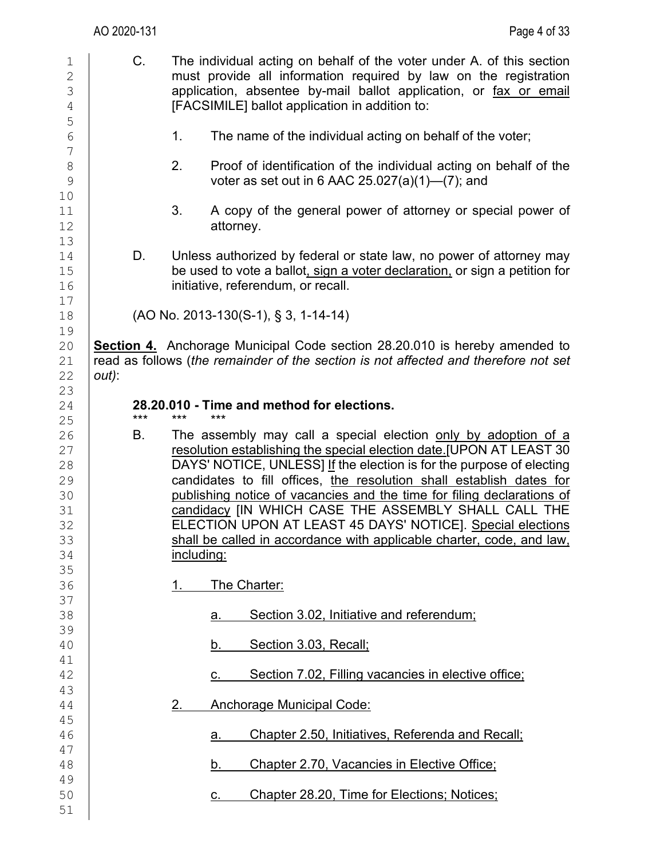| $\mathbf 1$<br>$\mathbf 2$<br>3<br>$\sqrt{4}$<br>5       |          | C.    |                   | The individual acting on behalf of the voter under A. of this section<br>must provide all information required by law on the registration<br>application, absentee by-mail ballot application, or fax or email<br>[FACSIMILE] ballot application in addition to:                                                                                                                                                                                                                                                                                               |
|----------------------------------------------------------|----------|-------|-------------------|----------------------------------------------------------------------------------------------------------------------------------------------------------------------------------------------------------------------------------------------------------------------------------------------------------------------------------------------------------------------------------------------------------------------------------------------------------------------------------------------------------------------------------------------------------------|
| $\sqrt{6}$<br>$\boldsymbol{7}$                           |          |       | 1.                | The name of the individual acting on behalf of the voter;                                                                                                                                                                                                                                                                                                                                                                                                                                                                                                      |
| $\,8\,$<br>$\mathcal{G}$<br>10                           |          |       | 2.                | Proof of identification of the individual acting on behalf of the<br>voter as set out in 6 AAC $25.027(a)(1)$ —(7); and                                                                                                                                                                                                                                                                                                                                                                                                                                        |
| 11<br>12                                                 |          |       | 3.                | A copy of the general power of attorney or special power of<br>attorney.                                                                                                                                                                                                                                                                                                                                                                                                                                                                                       |
| 13<br>14<br>15<br>16                                     |          | D.    |                   | Unless authorized by federal or state law, no power of attorney may<br>be used to vote a ballot, sign a voter declaration, or sign a petition for<br>initiative, referendum, or recall.                                                                                                                                                                                                                                                                                                                                                                        |
| 17<br>18                                                 |          |       |                   | (AO No. 2013-130(S-1), § 3, 1-14-14)                                                                                                                                                                                                                                                                                                                                                                                                                                                                                                                           |
| 19<br>20<br>21<br>22                                     | $out)$ : |       |                   | <b>Section 4.</b> Anchorage Municipal Code section 28.20.010 is hereby amended to<br>read as follows (the remainder of the section is not affected and therefore not set                                                                                                                                                                                                                                                                                                                                                                                       |
| 23<br>24<br>25                                           |          | $***$ | $***$             | 28.20.010 - Time and method for elections.                                                                                                                                                                                                                                                                                                                                                                                                                                                                                                                     |
| 26<br>27<br>28<br>29<br>30<br>31<br>32<br>33<br>34<br>35 |          | В.    | <u>including:</u> | The assembly may call a special election only by adoption of a<br>resolution establishing the special election date.[UPON AT LEAST 30<br>DAYS' NOTICE, UNLESS] If the election is for the purpose of electing<br>candidates to fill offices, the resolution shall establish dates for<br>publishing notice of vacancies and the time for filing declarations of<br>candidacy [IN WHICH CASE THE ASSEMBLY SHALL CALL THE<br>ELECTION UPON AT LEAST 45 DAYS' NOTICE]. Special elections<br>shall be called in accordance with applicable charter, code, and law, |
| 36<br>37                                                 |          |       | 1.                | The Charter:                                                                                                                                                                                                                                                                                                                                                                                                                                                                                                                                                   |
| 38<br>39                                                 |          |       |                   | Section 3.02, Initiative and referendum;<br>a.                                                                                                                                                                                                                                                                                                                                                                                                                                                                                                                 |
| 40<br>41                                                 |          |       |                   | Section 3.03, Recall;<br>b.                                                                                                                                                                                                                                                                                                                                                                                                                                                                                                                                    |
| 42<br>43                                                 |          |       |                   | Section 7.02, Filling vacancies in elective office;<br>C.                                                                                                                                                                                                                                                                                                                                                                                                                                                                                                      |
| 44                                                       |          |       | 2.                | <b>Anchorage Municipal Code:</b>                                                                                                                                                                                                                                                                                                                                                                                                                                                                                                                               |
| 45<br>46                                                 |          |       |                   | Chapter 2.50, Initiatives, Referenda and Recall;<br>a.                                                                                                                                                                                                                                                                                                                                                                                                                                                                                                         |
| 47<br>48                                                 |          |       |                   | Chapter 2.70, Vacancies in Elective Office;<br>b.                                                                                                                                                                                                                                                                                                                                                                                                                                                                                                              |
| 49<br>50<br>51                                           |          |       |                   | Chapter 28.20, Time for Elections; Notices;<br>C.                                                                                                                                                                                                                                                                                                                                                                                                                                                                                                              |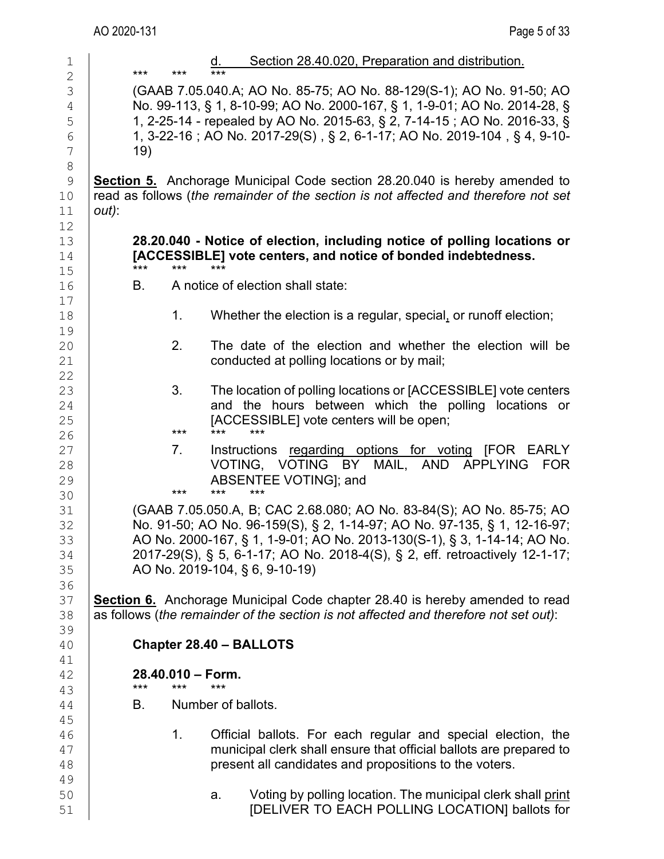|       | ***       | ***                | $***$                     | Section 28.40.020, Preparation and distribution.                                                                                                                                                                                                                                                                                              |
|-------|-----------|--------------------|---------------------------|-----------------------------------------------------------------------------------------------------------------------------------------------------------------------------------------------------------------------------------------------------------------------------------------------------------------------------------------------|
|       | 19)       |                    |                           | (GAAB 7.05.040.A; AO No. 85-75; AO No. 88-129(S-1); AO No. 91-50; AO<br>No. 99-113, § 1, 8-10-99; AO No. 2000-167, § 1, 1-9-01; AO No. 2014-28, §<br>1, 2-25-14 - repealed by AO No. 2015-63, § 2, 7-14-15 ; AO No. 2016-33, §<br>1, 3-22-16; AO No. 2017-29(S), § 2, 6-1-17; AO No. 2019-104, § 4, 9-10-                                     |
| out): |           |                    |                           | <b>Section 5.</b> Anchorage Municipal Code section 28.20.040 is hereby amended to<br>read as follows (the remainder of the section is not affected and therefore not set                                                                                                                                                                      |
|       | ***       | ***                | ***                       | 28.20.040 - Notice of election, including notice of polling locations or<br>[ACCESSIBLE] vote centers, and notice of bonded indebtedness.                                                                                                                                                                                                     |
|       | В.        |                    |                           | A notice of election shall state:                                                                                                                                                                                                                                                                                                             |
|       |           | 1.                 |                           | Whether the election is a regular, special, or runoff election;                                                                                                                                                                                                                                                                               |
|       |           | 2.                 |                           | The date of the election and whether the election will be<br>conducted at polling locations or by mail;                                                                                                                                                                                                                                       |
|       |           | 3.<br>***          | ***                       | The location of polling locations or [ACCESSIBLE] vote centers<br>and the hours between which the polling locations or<br>[ACCESSIBLE] vote centers will be open;<br>***                                                                                                                                                                      |
|       |           | $7_{\cdot}$<br>*** | ***                       | Instructions regarding options for voting [FOR EARLY<br>VOTING, VOTING BY MAIL, AND APPLYING<br>FOR<br>ABSENTEE VOTING]; and                                                                                                                                                                                                                  |
|       |           |                    |                           | (GAAB 7.05.050.A, B; CAC 2.68.080; AO No. 83-84(S); AO No. 85-75; AO<br>No. 91-50; AO No. 96-159(S), § 2, 1-14-97; AO No. 97-135, § 1, 12-16-97;<br>AO No. 2000-167, § 1, 1-9-01; AO No. 2013-130(S-1), § 3, 1-14-14; AO No.<br>2017-29(S), § 5, 6-1-17; AO No. 2018-4(S), § 2, eff. retroactively 12-1-17;<br>AO No. 2019-104, § 6, 9-10-19) |
|       |           |                    |                           | <b>Section 6.</b> Anchorage Municipal Code chapter 28.40 is hereby amended to read<br>as follows (the remainder of the section is not affected and therefore not set out):                                                                                                                                                                    |
|       |           |                    |                           | Chapter 28.40 - BALLOTS                                                                                                                                                                                                                                                                                                                       |
|       |           | 28.40.010 - Form.  |                           |                                                                                                                                                                                                                                                                                                                                               |
|       | ***<br>В. | ***                | ***<br>Number of ballots. |                                                                                                                                                                                                                                                                                                                                               |
|       |           | 1.                 |                           | Official ballots. For each regular and special election, the<br>municipal clerk shall ensure that official ballots are prepared to<br>present all candidates and propositions to the voters.                                                                                                                                                  |
|       |           |                    | a.                        | Voting by polling location. The municipal clerk shall print<br>[DELIVER TO EACH POLLING LOCATION] ballots for                                                                                                                                                                                                                                 |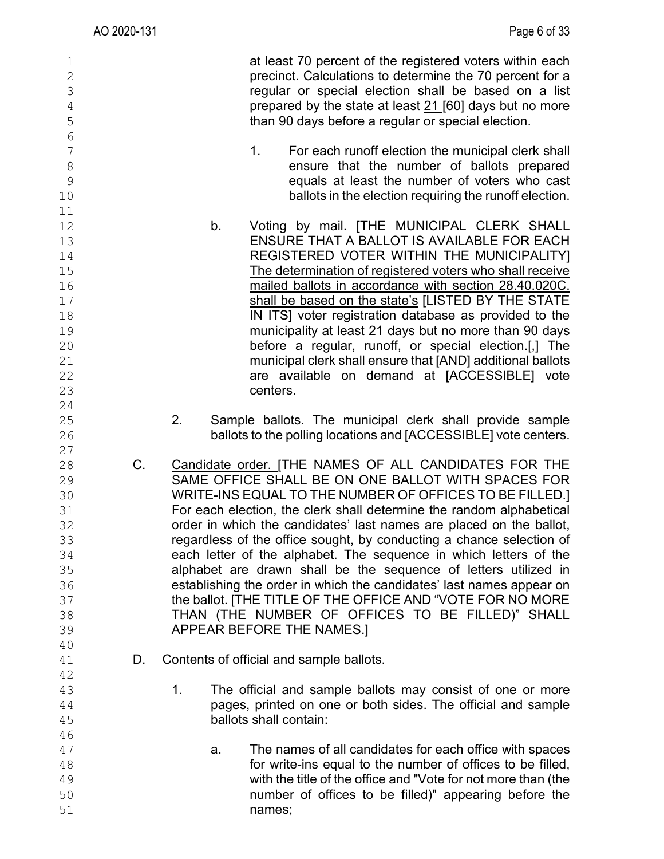| 1<br>$\overline{2}$<br>$\mathfrak{Z}$<br>$\overline{4}$<br>5<br>$\overline{6}$ | at least 70 percent of the registered voters within each<br>precinct. Calculations to determine the 70 percent for a<br>regular or special election shall be based on a list<br>prepared by the state at least 21 [60] days but no more<br>than 90 days before a regular or special election.                                                                                                                                                                                                                                                                                                                                 |
|--------------------------------------------------------------------------------|-------------------------------------------------------------------------------------------------------------------------------------------------------------------------------------------------------------------------------------------------------------------------------------------------------------------------------------------------------------------------------------------------------------------------------------------------------------------------------------------------------------------------------------------------------------------------------------------------------------------------------|
| $\overline{7}$                                                                 | 1.                                                                                                                                                                                                                                                                                                                                                                                                                                                                                                                                                                                                                            |
| $\,8\,$                                                                        | For each runoff election the municipal clerk shall                                                                                                                                                                                                                                                                                                                                                                                                                                                                                                                                                                            |
| $\mathcal{G}$                                                                  | ensure that the number of ballots prepared                                                                                                                                                                                                                                                                                                                                                                                                                                                                                                                                                                                    |
| 10                                                                             | equals at least the number of voters who cast                                                                                                                                                                                                                                                                                                                                                                                                                                                                                                                                                                                 |
| 11                                                                             | ballots in the election requiring the runoff election.                                                                                                                                                                                                                                                                                                                                                                                                                                                                                                                                                                        |
| 12<br>13<br>14<br>15<br>16<br>17<br>18<br>19<br>20<br>21<br>22<br>23           | Voting by mail. [THE MUNICIPAL CLERK SHALL<br>b.<br>ENSURE THAT A BALLOT IS AVAILABLE FOR EACH<br>REGISTERED VOTER WITHIN THE MUNICIPALITY]<br>The determination of registered voters who shall receive<br>mailed ballots in accordance with section 28.40.020C.<br>shall be based on the state's [LISTED BY THE STATE<br>IN ITS] voter registration database as provided to the<br>municipality at least 21 days but no more than 90 days<br>before a regular, runoff, or special election.[,] The<br>municipal clerk shall ensure that [AND] additional ballots<br>are available on demand at [ACCESSIBLE] vote<br>centers. |
| 24<br>25<br>26<br>27                                                           | 2.<br>Sample ballots. The municipal clerk shall provide sample<br>ballots to the polling locations and [ACCESSIBLE] vote centers.                                                                                                                                                                                                                                                                                                                                                                                                                                                                                             |
| 28                                                                             | Candidate order. [THE NAMES OF ALL CANDIDATES FOR THE                                                                                                                                                                                                                                                                                                                                                                                                                                                                                                                                                                         |
| 29                                                                             | C.                                                                                                                                                                                                                                                                                                                                                                                                                                                                                                                                                                                                                            |
| 30                                                                             | SAME OFFICE SHALL BE ON ONE BALLOT WITH SPACES FOR                                                                                                                                                                                                                                                                                                                                                                                                                                                                                                                                                                            |
| 31                                                                             | WRITE-INS EQUAL TO THE NUMBER OF OFFICES TO BE FILLED.]                                                                                                                                                                                                                                                                                                                                                                                                                                                                                                                                                                       |
| 32                                                                             | For each election, the clerk shall determine the random alphabetical                                                                                                                                                                                                                                                                                                                                                                                                                                                                                                                                                          |
| 33                                                                             | order in which the candidates' last names are placed on the ballot,                                                                                                                                                                                                                                                                                                                                                                                                                                                                                                                                                           |
| 34                                                                             | regardless of the office sought, by conducting a chance selection of                                                                                                                                                                                                                                                                                                                                                                                                                                                                                                                                                          |
| 35                                                                             | each letter of the alphabet. The sequence in which letters of the                                                                                                                                                                                                                                                                                                                                                                                                                                                                                                                                                             |
| 36                                                                             | alphabet are drawn shall be the sequence of letters utilized in                                                                                                                                                                                                                                                                                                                                                                                                                                                                                                                                                               |
| 37                                                                             | establishing the order in which the candidates' last names appear on                                                                                                                                                                                                                                                                                                                                                                                                                                                                                                                                                          |
| 38                                                                             | the ballot. [THE TITLE OF THE OFFICE AND "VOTE FOR NO MORE                                                                                                                                                                                                                                                                                                                                                                                                                                                                                                                                                                    |
| 39                                                                             | THAN (THE NUMBER OF OFFICES TO BE FILLED)" SHALL                                                                                                                                                                                                                                                                                                                                                                                                                                                                                                                                                                              |
| 40                                                                             | APPEAR BEFORE THE NAMES.]                                                                                                                                                                                                                                                                                                                                                                                                                                                                                                                                                                                                     |
| 41                                                                             | Contents of official and sample ballots.                                                                                                                                                                                                                                                                                                                                                                                                                                                                                                                                                                                      |
| 42                                                                             | D.                                                                                                                                                                                                                                                                                                                                                                                                                                                                                                                                                                                                                            |
| 43                                                                             | 1.                                                                                                                                                                                                                                                                                                                                                                                                                                                                                                                                                                                                                            |
| 44                                                                             | The official and sample ballots may consist of one or more                                                                                                                                                                                                                                                                                                                                                                                                                                                                                                                                                                    |
| 45                                                                             | pages, printed on one or both sides. The official and sample                                                                                                                                                                                                                                                                                                                                                                                                                                                                                                                                                                  |
| 46                                                                             | ballots shall contain:                                                                                                                                                                                                                                                                                                                                                                                                                                                                                                                                                                                                        |
| 47<br>48<br>49<br>50<br>51                                                     | The names of all candidates for each office with spaces<br>a.<br>for write-ins equal to the number of offices to be filled,<br>with the title of the office and "Vote for not more than (the<br>number of offices to be filled)" appearing before the<br>names;                                                                                                                                                                                                                                                                                                                                                               |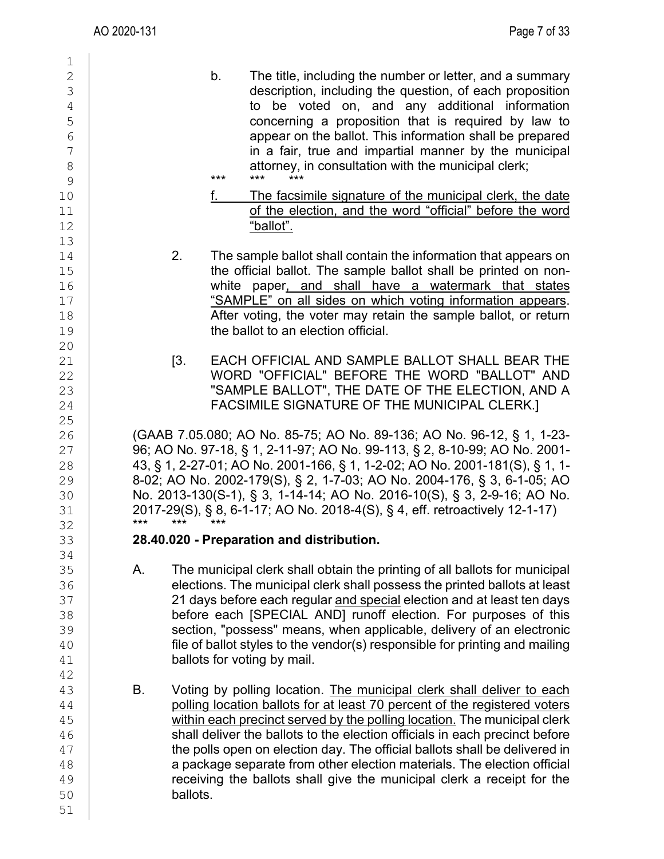| 1                                                                    |                                                                                                                                                                                                                                                                                                                                                                                                                                                                                                                                                                    |
|----------------------------------------------------------------------|--------------------------------------------------------------------------------------------------------------------------------------------------------------------------------------------------------------------------------------------------------------------------------------------------------------------------------------------------------------------------------------------------------------------------------------------------------------------------------------------------------------------------------------------------------------------|
| 2<br>3<br>4<br>5<br>6<br>$7\phantom{.0}$<br>$\,8\,$<br>$\mathcal{G}$ | b.<br>The title, including the number or letter, and a summary<br>description, including the question, of each proposition<br>to be voted on, and any additional information<br>concerning a proposition that is required by law to<br>appear on the ballot. This information shall be prepared<br>in a fair, true and impartial manner by the municipal<br>attorney, in consultation with the municipal clerk;<br>$***$<br>$***$<br>$***$                                                                                                                         |
| 10<br>11<br>12                                                       | f.<br>The facsimile signature of the municipal clerk, the date<br>of the election, and the word "official" before the word<br>"ballot".                                                                                                                                                                                                                                                                                                                                                                                                                            |
| 13<br>14<br>15<br>16<br>17<br>18<br>19                               | 2.<br>The sample ballot shall contain the information that appears on<br>the official ballot. The sample ballot shall be printed on non-<br>white paper, and shall have a watermark that states<br>"SAMPLE" on all sides on which voting information appears.<br>After voting, the voter may retain the sample ballot, or return<br>the ballot to an election official.                                                                                                                                                                                            |
| 20<br>21<br>22<br>23<br>24<br>25                                     | [3]<br>EACH OFFICIAL AND SAMPLE BALLOT SHALL BEAR THE<br>WORD "OFFICIAL" BEFORE THE WORD "BALLOT" AND<br>"SAMPLE BALLOT", THE DATE OF THE ELECTION, AND A<br>FACSIMILE SIGNATURE OF THE MUNICIPAL CLERK.]                                                                                                                                                                                                                                                                                                                                                          |
| 26<br>27<br>28<br>29<br>30<br>31<br>32                               | (GAAB 7.05.080; AO No. 85-75; AO No. 89-136; AO No. 96-12, § 1, 1-23-<br>96; AO No. 97-18, § 1, 2-11-97; AO No. 99-113, § 2, 8-10-99; AO No. 2001-<br>43, § 1, 2-27-01; AO No. 2001-166, § 1, 1-2-02; AO No. 2001-181(S), § 1, 1-<br>8-02; AO No. 2002-179(S), § 2, 1-7-03; AO No. 2004-176, § 3, 6-1-05; AO<br>No. 2013-130(S-1), § 3, 1-14-14; AO No. 2016-10(S), § 3, 2-9-16; AO No.<br>2017-29(S), § 8, 6-1-17; AO No. 2018-4(S), § 4, eff. retroactively 12-1-17)<br>$***$<br>***<br>***                                                                      |
| 33                                                                   | 28.40.020 - Preparation and distribution.                                                                                                                                                                                                                                                                                                                                                                                                                                                                                                                          |
| 34<br>35<br>36<br>37<br>38<br>39<br>40<br>41                         | The municipal clerk shall obtain the printing of all ballots for municipal<br>А.<br>elections. The municipal clerk shall possess the printed ballots at least<br>21 days before each regular and special election and at least ten days<br>before each [SPECIAL AND] runoff election. For purposes of this<br>section, "possess" means, when applicable, delivery of an electronic<br>file of ballot styles to the vendor(s) responsible for printing and mailing<br>ballots for voting by mail.                                                                   |
| 42<br>43<br>44<br>45<br>46<br>47<br>48<br>49<br>50<br>51             | В.<br>Voting by polling location. The municipal clerk shall deliver to each<br>polling location ballots for at least 70 percent of the registered voters<br>within each precinct served by the polling location. The municipal clerk<br>shall deliver the ballots to the election officials in each precinct before<br>the polls open on election day. The official ballots shall be delivered in<br>a package separate from other election materials. The election official<br>receiving the ballots shall give the municipal clerk a receipt for the<br>ballots. |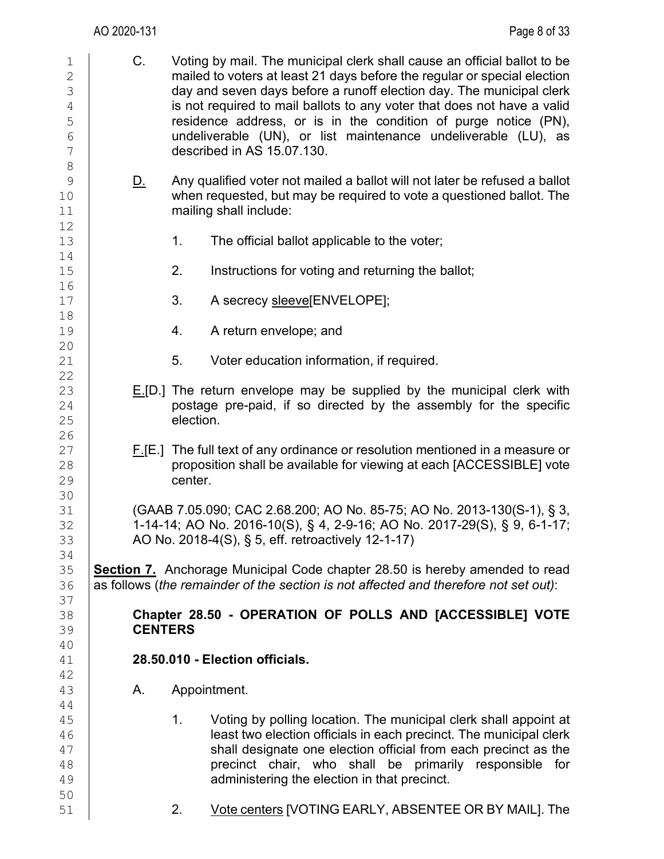| $\mathbf 1$<br>$\sqrt{2}$<br>$\mathfrak{Z}$<br>$\sqrt{4}$<br>5<br>$\sqrt{6}$<br>$\overline{7}$ | C.             | Voting by mail. The municipal clerk shall cause an official ballot to be<br>mailed to voters at least 21 days before the regular or special election<br>day and seven days before a runoff election day. The municipal clerk<br>is not required to mail ballots to any voter that does not have a valid<br>residence address, or is in the condition of purge notice (PN),<br>undeliverable (UN), or list maintenance undeliverable (LU), as<br>described in AS 15.07.130. |
|------------------------------------------------------------------------------------------------|----------------|----------------------------------------------------------------------------------------------------------------------------------------------------------------------------------------------------------------------------------------------------------------------------------------------------------------------------------------------------------------------------------------------------------------------------------------------------------------------------|
| $\,8\,$<br>$\mathsf 9$<br>10<br>11<br>12                                                       | <u>D.</u>      | Any qualified voter not mailed a ballot will not later be refused a ballot<br>when requested, but may be required to vote a questioned ballot. The<br>mailing shall include:                                                                                                                                                                                                                                                                                               |
| 13<br>14                                                                                       |                | 1.<br>The official ballot applicable to the voter;                                                                                                                                                                                                                                                                                                                                                                                                                         |
| 15<br>16                                                                                       |                | 2.<br>Instructions for voting and returning the ballot;                                                                                                                                                                                                                                                                                                                                                                                                                    |
| 17<br>18                                                                                       |                | 3.<br>A secrecy sleeve[ENVELOPE];                                                                                                                                                                                                                                                                                                                                                                                                                                          |
| 19<br>20                                                                                       |                | 4.<br>A return envelope; and                                                                                                                                                                                                                                                                                                                                                                                                                                               |
| 21<br>22                                                                                       |                | 5.<br>Voter education information, if required.                                                                                                                                                                                                                                                                                                                                                                                                                            |
| 23<br>24<br>25<br>26                                                                           |                | $E[D.$ ] The return envelope may be supplied by the municipal clerk with<br>postage pre-paid, if so directed by the assembly for the specific<br>election.                                                                                                                                                                                                                                                                                                                 |
| 27<br>28<br>29                                                                                 |                | $F[F.$ ] The full text of any ordinance or resolution mentioned in a measure or<br>proposition shall be available for viewing at each [ACCESSIBLE] vote<br>center.                                                                                                                                                                                                                                                                                                         |
| 30<br>31<br>32<br>33                                                                           |                | (GAAB 7.05.090; CAC 2.68.200; AO No. 85-75; AO No. 2013-130(S-1), § 3,<br>1-14-14; AO No. 2016-10(S), § 4, 2-9-16; AO No. 2017-29(S), § 9, 6-1-17;<br>AO No. 2018-4(S), § 5, eff. retroactively 12-1-17)                                                                                                                                                                                                                                                                   |
| 34<br>35<br>36<br>37                                                                           |                | <b>Section 7.</b> Anchorage Municipal Code chapter 28.50 is hereby amended to read<br>as follows (the remainder of the section is not affected and therefore not set out):                                                                                                                                                                                                                                                                                                 |
| 38<br>39<br>40                                                                                 | <b>CENTERS</b> | Chapter 28.50 - OPERATION OF POLLS AND [ACCESSIBLE] VOTE                                                                                                                                                                                                                                                                                                                                                                                                                   |
| 41<br>42                                                                                       |                | 28.50.010 - Election officials.                                                                                                                                                                                                                                                                                                                                                                                                                                            |
| 43<br>44                                                                                       | Α.             | Appointment.                                                                                                                                                                                                                                                                                                                                                                                                                                                               |
| 45<br>46<br>47<br>48<br>49                                                                     |                | 1.<br>Voting by polling location. The municipal clerk shall appoint at<br>least two election officials in each precinct. The municipal clerk<br>shall designate one election official from each precinct as the<br>precinct chair, who shall be primarily responsible for<br>administering the election in that precinct.                                                                                                                                                  |
| 50<br>51                                                                                       |                | Vote centers [VOTING EARLY, ABSENTEE OR BY MAIL]. The<br>2.                                                                                                                                                                                                                                                                                                                                                                                                                |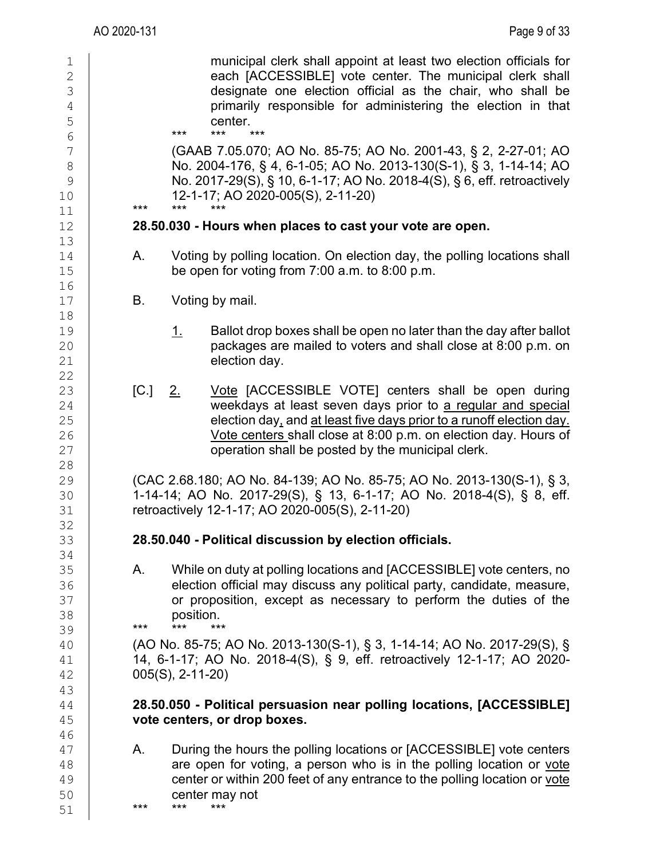|                                                                 | AO 2020-131 |                    | Page 9 of 33                                                                                                                                                                                                                                                                                                       |
|-----------------------------------------------------------------|-------------|--------------------|--------------------------------------------------------------------------------------------------------------------------------------------------------------------------------------------------------------------------------------------------------------------------------------------------------------------|
| 1<br>$\mathbf{2}$<br>$\mathfrak{Z}$<br>$\sqrt{4}$<br>5<br>$6\,$ |             | $***$              | municipal clerk shall appoint at least two election officials for<br>each [ACCESSIBLE] vote center. The municipal clerk shall<br>designate one election official as the chair, who shall be<br>primarily responsible for administering the election in that<br>center.<br>***<br>***                               |
| 7<br>$\,8\,$<br>$\mathcal{G}$<br>10<br>11                       | ***         | ***                | (GAAB 7.05.070; AO No. 85-75; AO No. 2001-43, § 2, 2-27-01; AO<br>No. 2004-176, § 4, 6-1-05; AO No. 2013-130(S-1), § 3, 1-14-14; AO<br>No. 2017-29(S), § 10, 6-1-17; AO No. 2018-4(S), § 6, eff. retroactively<br>12-1-17; AO 2020-005(S), 2-11-20)<br>***                                                         |
| 12                                                              |             |                    | 28.50.030 - Hours when places to cast your vote are open.                                                                                                                                                                                                                                                          |
| 13<br>14<br>15                                                  | Α.          |                    | Voting by polling location. On election day, the polling locations shall<br>be open for voting from $7:00$ a.m. to $8:00$ p.m.                                                                                                                                                                                     |
| 16<br>17                                                        | В.          |                    | Voting by mail.                                                                                                                                                                                                                                                                                                    |
| 18<br>19<br>20<br>21<br>22                                      |             | <u>1.</u>          | Ballot drop boxes shall be open no later than the day after ballot<br>packages are mailed to voters and shall close at 8:00 p.m. on<br>election day.                                                                                                                                                               |
| 23<br>24<br>25<br>26<br>27                                      | [C.]        | $2_{-}$            | Vote [ACCESSIBLE VOTE] centers shall be open during<br>weekdays at least seven days prior to a regular and special<br>election day, and at least five days prior to a runoff election day.<br>Vote centers shall close at 8:00 p.m. on election day. Hours of<br>operation shall be posted by the municipal clerk. |
| 28<br>29<br>30<br>31                                            |             |                    | (CAC 2.68.180; AO No. 84-139; AO No. 85-75; AO No. 2013-130(S-1), § 3,<br>1-14-14; AO No. 2017-29(S), § 13, 6-1-17; AO No. 2018-4(S), § 8, eff.<br>retroactively 12-1-17; AO 2020-005(S), 2-11-20)                                                                                                                 |
| 32<br>33                                                        |             |                    | 28.50.040 - Political discussion by election officials.                                                                                                                                                                                                                                                            |
| 34<br>35<br>36<br>37<br>38<br>39                                | А.<br>$***$ | position.<br>$***$ | While on duty at polling locations and [ACCESSIBLE] vote centers, no<br>election official may discuss any political party, candidate, measure,<br>or proposition, except as necessary to perform the duties of the<br>***                                                                                          |
| 40<br>41<br>42<br>43                                            |             | $005(S), 2-11-20$  | (AO No. 85-75; AO No. 2013-130(S-1), § 3, 1-14-14; AO No. 2017-29(S), §<br>14, 6-1-17; AO No. 2018-4(S), § 9, eff. retroactively 12-1-17; AO 2020-                                                                                                                                                                 |
| 44<br>45<br>46                                                  |             |                    | 28.50.050 - Political persuasion near polling locations, [ACCESSIBLE]<br>vote centers, or drop boxes.                                                                                                                                                                                                              |
| 47<br>48<br>49<br>50<br>51                                      | Α.<br>***   | ***                | During the hours the polling locations or [ACCESSIBLE] vote centers<br>are open for voting, a person who is in the polling location or vote<br>center or within 200 feet of any entrance to the polling location or vote<br>center may not<br>***                                                                  |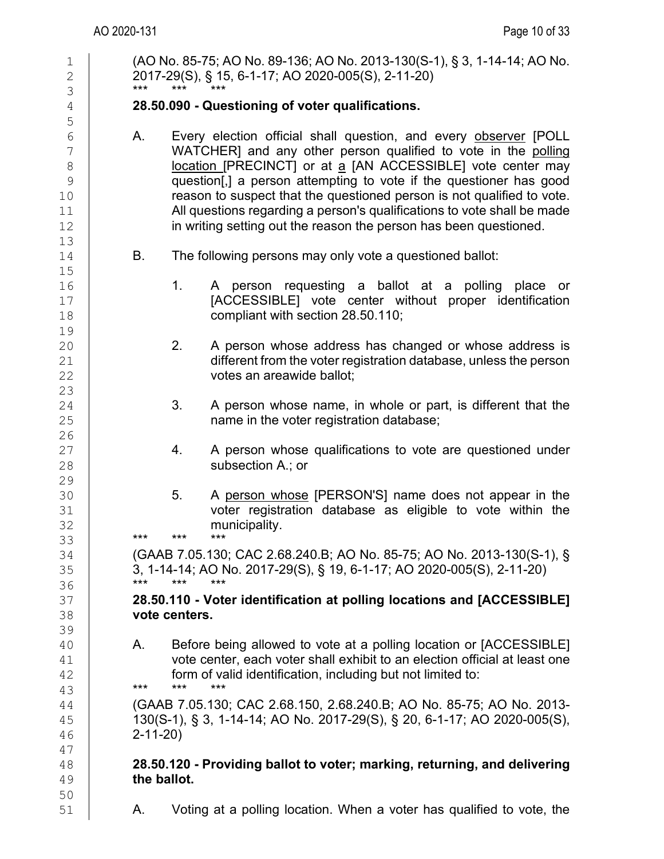| 1<br>$\mathbf{2}$<br>3                                                   | (AO No. 85-75; AO No. 89-136; AO No. 2013-130(S-1), § 3, 1-14-14; AO No.<br>2017-29(S), § 15, 6-1-17; AO 2020-005(S), 2-11-20)<br>***<br>***                                                                                                                                                                                                                                                                                                                                                            |
|--------------------------------------------------------------------------|---------------------------------------------------------------------------------------------------------------------------------------------------------------------------------------------------------------------------------------------------------------------------------------------------------------------------------------------------------------------------------------------------------------------------------------------------------------------------------------------------------|
| $\sqrt{4}$                                                               | 28.50.090 - Questioning of voter qualifications.                                                                                                                                                                                                                                                                                                                                                                                                                                                        |
| 5<br>$\sqrt{6}$<br>7<br>$\,8\,$<br>$\mathcal{G}$<br>10<br>11<br>12<br>13 | Every election official shall question, and every observer [POLL<br>Α.<br>WATCHER] and any other person qualified to vote in the polling<br>location [PRECINCT] or at a [AN ACCESSIBLE] vote center may<br>question[,] a person attempting to vote if the questioner has good<br>reason to suspect that the questioned person is not qualified to vote.<br>All questions regarding a person's qualifications to vote shall be made<br>in writing setting out the reason the person has been questioned. |
| 14                                                                       | В.<br>The following persons may only vote a questioned ballot:                                                                                                                                                                                                                                                                                                                                                                                                                                          |
| 15<br>16<br>$17$<br>18<br>19                                             | 1.<br>A person requesting a ballot at a polling place or<br>[ACCESSIBLE] vote center without proper identification<br>compliant with section 28.50.110;                                                                                                                                                                                                                                                                                                                                                 |
| 20<br>21<br>22<br>23                                                     | 2.<br>A person whose address has changed or whose address is<br>different from the voter registration database, unless the person<br>votes an areawide ballot;                                                                                                                                                                                                                                                                                                                                          |
| 24<br>25<br>26                                                           | 3.<br>A person whose name, in whole or part, is different that the<br>name in the voter registration database;                                                                                                                                                                                                                                                                                                                                                                                          |
| 27<br>28<br>29                                                           | A person whose qualifications to vote are questioned under<br>4.<br>subsection A.; or                                                                                                                                                                                                                                                                                                                                                                                                                   |
| 30<br>31<br>32<br>33                                                     | 5.<br>A person whose [PERSON'S] name does not appear in the<br>voter registration database as eligible to vote within the<br>municipality.<br>***<br>***<br>***                                                                                                                                                                                                                                                                                                                                         |
| 34<br>35<br>36                                                           | (GAAB 7.05.130; CAC 2.68.240.B; AO No. 85-75; AO No. 2013-130(S-1), §<br>3, 1-14-14; AO No. 2017-29(S), § 19, 6-1-17; AO 2020-005(S), 2-11-20)<br>***<br>$***$<br>***                                                                                                                                                                                                                                                                                                                                   |
| 37<br>38<br>39                                                           | 28.50.110 - Voter identification at polling locations and [ACCESSIBLE]<br>vote centers.                                                                                                                                                                                                                                                                                                                                                                                                                 |
| 40<br>41<br>42                                                           | Before being allowed to vote at a polling location or [ACCESSIBLE]<br>А.<br>vote center, each voter shall exhibit to an election official at least one<br>form of valid identification, including but not limited to:<br>***<br>***<br>***                                                                                                                                                                                                                                                              |
| 43<br>44<br>45<br>46                                                     | (GAAB 7.05.130; CAC 2.68.150, 2.68.240.B; AO No. 85-75; AO No. 2013-<br>130(S-1), § 3, 1-14-14; AO No. 2017-29(S), § 20, 6-1-17; AO 2020-005(S),<br>$2 - 11 - 20$                                                                                                                                                                                                                                                                                                                                       |
| 47<br>48<br>49<br>50                                                     | 28.50.120 - Providing ballot to voter; marking, returning, and delivering<br>the ballot.                                                                                                                                                                                                                                                                                                                                                                                                                |
| 51                                                                       | Voting at a polling location. When a voter has qualified to vote, the<br>А.                                                                                                                                                                                                                                                                                                                                                                                                                             |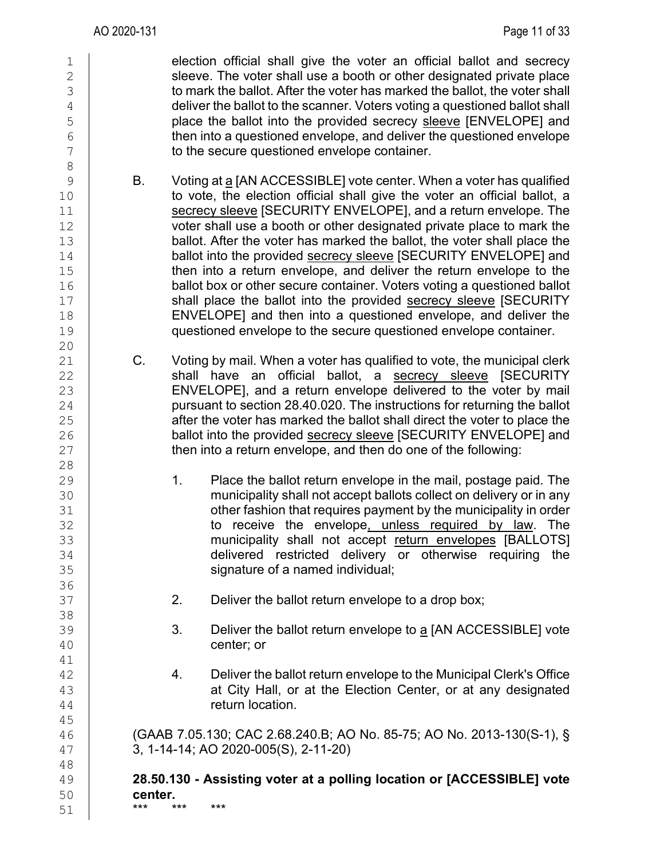1 election official shall give the voter an official ballot and secrecy<br>2 sleeve. The voter shall use a booth or other designated private place 2 sleeve. The voter shall use a booth or other designated private place<br>3 to mark the ballot. After the voter has marked the ballot, the voter shall 3 to mark the ballot. After the voter has marked the ballot, the voter shall<br>deliver the ballot to the scanner. Voters voting a questioned ballot shall 4 deliver the ballot to the scanner. Voters voting a questioned ballot shall<br>5 blace the ballot into the provided secrecy sleeve IENVELOPE1 and 5 place the ballot into the provided secrecy sleeve [ENVELOPE] and<br>6 then into a questioned envelope, and deliver the questioned envelope  $\begin{array}{c|c}\n6 & \text{then into a questioned envelope, and deliver the questioned envelope} \\
7 & \text{to the secure questioned envelope container.}\n\end{array}$ to the secure questioned envelope container. 8 9 B. Voting at <u>a</u> [AN ACCESSIBLE] vote center. When a voter has qualified<br>10 **B. Colores the election official shall give the voter an official ballot, a** to vote, the election official shall give the voter an official ballot, a 11 Secrecy sleeve [SECURITY ENVELOPE], and a return envelope. The secrecy sleeve [SECURITY ENVELOPE], and a return envelope. The 12 12 voter shall use a booth or other designated private place to mark the<br>13 ballot. After the voter has marked the ballot, the voter shall place the 13 ballot. After the voter has marked the ballot, the voter shall place the 14 ballot into the provided secrecy sleeve [SECURITY ENVELOPE] and 14 ballot into the provided **secrecy sleeve** [SECURITY ENVELOPE] and<br>15 **homogle into a return envelope, and deliver the return envelope to the** 15 then into a return envelope, and deliver the return envelope to the<br>16 ballot box or other secure container. Voters voting a questioned ballot 16 ballot box or other secure container. Voters voting a questioned ballot 17 shall place the ballot into the provided secrecy sleeve ISECURITY 17 Shall place the ballot into the provided secrecy sleeve [SECURITY<br>18 ENVELOPEI and then into a questioned envelope, and deliver the 18 ENVELOPE] and then into a questioned envelope, and deliver the<br>19 duestioned envelope to the secure questioned envelope container. questioned envelope to the secure questioned envelope container. 20  $\begin{array}{c|c} 21 & \text{C.} & \text{Voting by mail. When a voter has qualified to vote, the municipal clerk} \\ 22 & \text{shall have an official ballot.} & \text{secrecv sleeve} & \text{SECURITY} \end{array}$ 22 shall have an official ballot, a secrecy sleeve [SECURITY<br>23 ENVELOPEI and a return envelope delivered to the voter by mail 23 ENVELOPE], and a return envelope delivered to the voter by mail<br>24 pursuant to section 28.40.020. The instructions for returning the ballot 24 pursuant to section 28.40.020. The instructions for returning the ballot 25 after the voter has marked the ballot shall direct the voter to place the 25 after the voter has marked the ballot shall direct the voter to place the<br>26 ballot into the provided secrecy sleeve ISECURITY ENVELOPEI and ballot into the provided secrecy sleeve [SECURITY ENVELOPE] and  $27$   $\parallel$  then into a return envelope, and then do one of the following: 28<br>29 29 1. Place the ballot return envelope in the mail, postage paid. The<br>30 municipality shall not accept ballots collect on delivery or in any 30 municipality shall not accept ballots collect on delivery or in any<br>31 other fashion that requires payment by the municipality in order 31 other fashion that requires payment by the municipality in order<br>32 to receive the envelope,unless required by law. The 32 to receive the envelope<u>, unless required by law</u>. The the receive the envelope<u>, unless required by law</u>. The the municipality shall not accept return envelopes [BALLOTS] 33 contract in the municipality shall not accept <u>return envelopes</u> [BALLOTS]<br>34 **contract delivered restricted delivery** or otherwise requiring the 34 delivered restricted delivery or otherwise requiring the state of a named individual: signature of a named individual; 36<br>37 2. Deliver the ballot return envelope to a drop box; 38 39 3. Deliver the ballot return envelope to <u>a</u> [AN ACCESSIBLE] vote center; or center; or 41<br>42 42 4. Deliver the ballot return envelope to the Municipal Clerk's Office<br>43 **4.** at City Hall, or at the Election Center, or at any designated  $\begin{array}{c|c} 43 & 44 \end{array}$  at City Hall, or at the Election Center, or at any designated return location. return location. 45 46 (GAAB 7.05.130; CAC 2.68.240.B; AO No. 85-75; AO No. 2013-130(S-1), § 47 3, 1-14-14; AO 2020-005(S), 2-11-20) 48 49 **28.50.130 - Assisting voter at a polling location or [ACCESSIBLE] vote**  50 **center.** 51 \*\*\* \*\*\* \*\*\*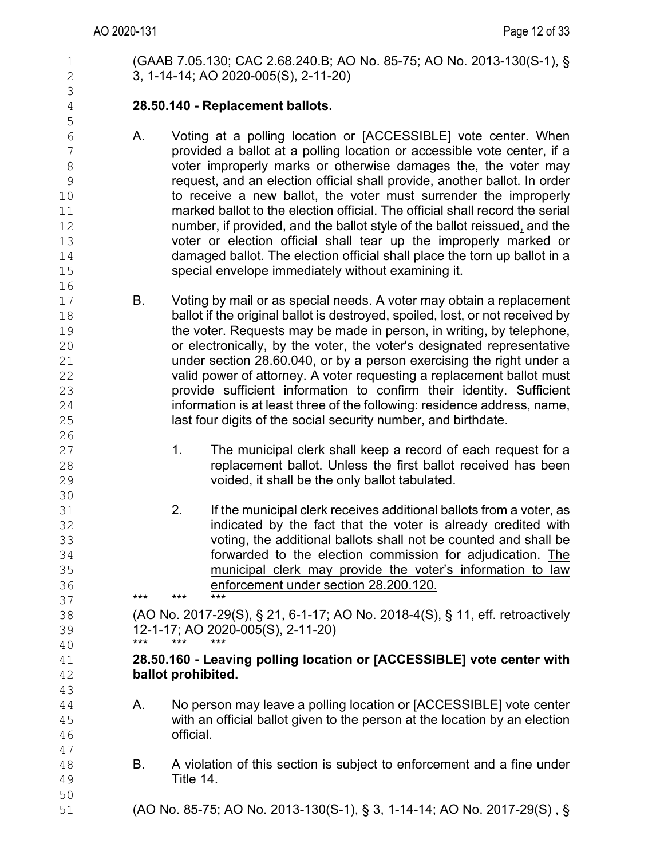1 (GAAB 7.05.130; CAC 2.68.240.B; AO No. 85-75; AO No. 2013-130(S-1), §<br>2 3. 1-14-14: AO 2020-005(S), 2-11-20) 2 3, 1-14-14; AO 2020-005(S), 2-11-20)

### 4 **28.50.140 - Replacement ballots.**

- 6 A. Voting at a polling location or [ACCESSIBLE] vote center. When<br>
The contract or provided a ballot at a polling location or accessible vote center. if a 7 provided a ballot at a polling location or accessible vote center, if a<br>8 8 voter improperly marks or otherwise damages the, the voter may<br>9 request, and an election official shall provide, another ballot, In order 9 request, and an election official shall provide, another ballot. In order<br>10 **to receive a new ballot, the voter must** surrender the improperly to receive a new ballot, the voter must surrender the improperly  $\begin{array}{c|c} 11 & \text{marked ball} \end{array}$  marked ballot to the election official. The official shall record the serial  $\begin{array}{c|c} 12 & \text{number.} \end{array}$  if provided, and the ballot style of the ballot reissued, and the 12 **number, if provided, and the ballot style of the ballot reissued, and the latter is and the latter of the improperly marked or and the improperly marked or** 13 voter or election official shall tear up the improperly marked or 14 contracted ballot. The election official shall place the torn up ballot in a  $\frac{14}{15}$  damaged ballot. The election official shall place the torn up ballot in a<br>15 special envelope immediately without examining it.
- 17 B. Voting by mail or as special needs. A voter may obtain a replacement<br>18 ballot if the original ballot is destroved, spoiled, lost, or not received by 18 ballot if the original ballot is destroyed, spoiled, lost, or not received by<br>19 the voter. Requests may be made in person. in writing, by telephone. 19 the voter. Requests may be made in person, in writing, by telephone,<br>20 or electronically, by the voter, the voter's designated representative 20 or electronically, by the voter, the voter's designated representative 21 under section 28.60.040, or by a person exercising the right under a<br>22 valid power of attornev. A voter requesting a replacement ballot must 22 valid power of attorney. A voter requesting a replacement ballot must<br>23 **booking** provide sufficient information to confirm their identity. Sufficient 23 provide sufficient information to confirm their identity. Sufficient 24 provide sufficient 24  $24$  information is at least three of the following: residence address, name,<br>25 and last four digits of the social security number, and birthdate. last four digits of the social security number, and birthdate.
- 27 1. The municipal clerk shall keep a record of each request for a<br>28 **1. The municipal clerk shall keep a record of each request for a**<br>28 28 **replacement ballot. Unless the first ballot received has been**<br>29 voided, it shall be the only ballot tabulated. voided, it shall be the only ballot tabulated.
- 31 2. If the municipal clerk receives additional ballots from a voter, as<br>32 indicated by the fact that the voter is already credited with 32 indicated by the fact that the voter is already credited with<br>33 indicated by the fact that the voter is already credited with 33 voting, the additional ballots shall not be counted and shall be<br>34 **forwarded to the election commission for adjudication**. The 34 **forwarded to the election commission for adjudication.** The the state of the election commission for adjudication. The state of the state of the state of the state of the state of the state of the state of the state of 35 contract in the municipal clerk may provide the voter's information to law<br>36 **contract example to the enforcement under section 28.200.120.** 36 **enforcement under section 28.200.120.**<br>37

37 \*\*\* \*\*\* \*\*\*

38 (AO No. 2017-29(S), § 21, 6-1-17; AO No. 2018-4(S), § 11, eff. retroactively 39 12-1-17; AO 2020-005(S), 2-11-20)<br>40 \*\*\* \*\*\* \*\*\* \*\*\*

#### 40 \*\*\* \*\*\* \*\*\* 41 **28.50.160 - Leaving polling location or [ACCESSIBLE] vote center with**  42 **ballot prohibited.**

- $\begin{array}{c|c} 44 & A. & \text{No person may leave a polling location or [ACCESSIBLE] vote center} \ 45 & \text{with an official ballot given to the person at the location by an election} \end{array}$  $\frac{45}{46}$  with an official ballot given to the person at the location by an election  $\frac{46}{46}$ official.
- B. A violation of this section is subject to enforcement and a fine under 49 Title 14.

51 (AO No. 85-75; AO No. 2013-130(S-1), § 3, 1-14-14; AO No. 2017-29(S) , §

47

50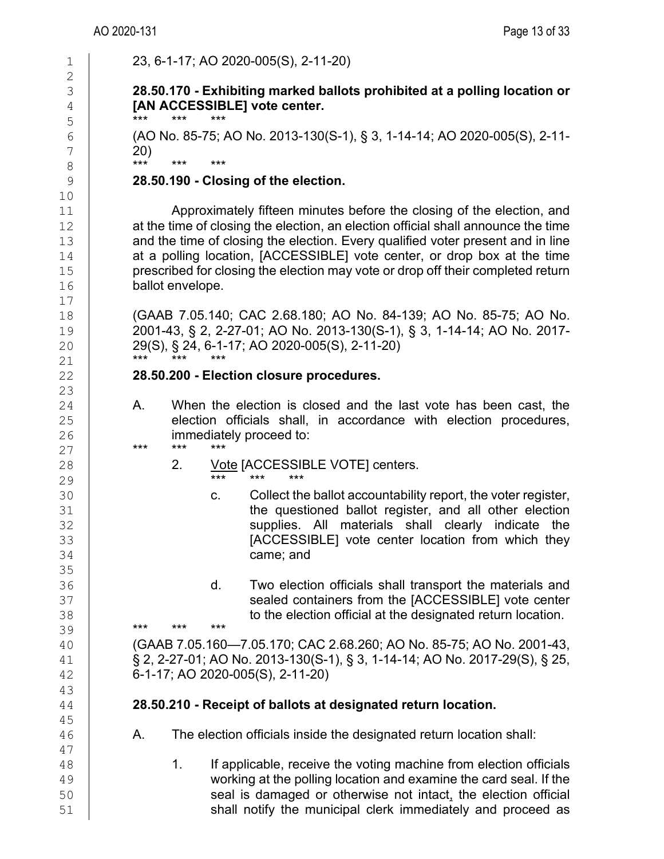| $\mathbf 1$                              | 23, 6-1-17; AO 2020-005(S), 2-11-20)                                                                                                                                                                                                                                                                                                                                                                                             |
|------------------------------------------|----------------------------------------------------------------------------------------------------------------------------------------------------------------------------------------------------------------------------------------------------------------------------------------------------------------------------------------------------------------------------------------------------------------------------------|
| $\mathbf{2}$<br>3<br>$\overline{4}$<br>5 | 28.50.170 - Exhibiting marked ballots prohibited at a polling location or<br>[AN ACCESSIBLE] vote center.<br>***<br>***                                                                                                                                                                                                                                                                                                          |
| 6<br>$\boldsymbol{7}$                    | (AO No. 85-75; AO No. 2013-130(S-1), § 3, 1-14-14; AO 2020-005(S), 2-11-<br>20)<br>***<br>***<br>***                                                                                                                                                                                                                                                                                                                             |
| $\,8\,$<br>$\mathcal{G}$                 | 28.50.190 - Closing of the election.                                                                                                                                                                                                                                                                                                                                                                                             |
| 10                                       |                                                                                                                                                                                                                                                                                                                                                                                                                                  |
| 11<br>12<br>13<br>14<br>15<br>16<br>17   | Approximately fifteen minutes before the closing of the election, and<br>at the time of closing the election, an election official shall announce the time<br>and the time of closing the election. Every qualified voter present and in line<br>at a polling location, [ACCESSIBLE] vote center, or drop box at the time<br>prescribed for closing the election may vote or drop off their completed return<br>ballot envelope. |
| 18<br>19<br>20<br>21                     | (GAAB 7.05.140; CAC 2.68.180; AO No. 84-139; AO No. 85-75; AO No.<br>2001-43, § 2, 2-27-01; AO No. 2013-130(S-1), § 3, 1-14-14; AO No. 2017-<br>29(S), § 24, 6-1-17; AO 2020-005(S), 2-11-20)<br>***<br>***<br>$***$                                                                                                                                                                                                             |
| 22                                       | 28.50.200 - Election closure procedures.                                                                                                                                                                                                                                                                                                                                                                                         |
| 23                                       |                                                                                                                                                                                                                                                                                                                                                                                                                                  |
| 24<br>25<br>26                           | When the election is closed and the last vote has been cast, the<br>А.<br>election officials shall, in accordance with election procedures,<br>immediately proceed to:                                                                                                                                                                                                                                                           |
| 27                                       | $***$<br>$***$<br>***                                                                                                                                                                                                                                                                                                                                                                                                            |
| 28                                       | Vote [ACCESSIBLE VOTE] centers.<br>2.<br>$***$<br>$***$<br>***                                                                                                                                                                                                                                                                                                                                                                   |
| 29                                       |                                                                                                                                                                                                                                                                                                                                                                                                                                  |
| 30<br>31<br>32<br>33<br>34<br>35         | Collect the ballot accountability report, the voter register,<br>C.<br>the questioned ballot register, and all other election<br>supplies. All materials shall clearly indicate the<br>[ACCESSIBLE] vote center location from which they<br>came; and                                                                                                                                                                            |
| 36                                       | d.<br>Two election officials shall transport the materials and                                                                                                                                                                                                                                                                                                                                                                   |
| 37                                       | sealed containers from the [ACCESSIBLE] vote center                                                                                                                                                                                                                                                                                                                                                                              |
| 38                                       | to the election official at the designated return location.<br>***<br>***<br>$***$                                                                                                                                                                                                                                                                                                                                               |
| 39                                       |                                                                                                                                                                                                                                                                                                                                                                                                                                  |
| 40<br>41<br>42<br>43                     | (GAAB 7.05.160-7.05.170; CAC 2.68.260; AO No. 85-75; AO No. 2001-43,<br>§ 2, 2-27-01; AO No. 2013-130(S-1), § 3, 1-14-14; AO No. 2017-29(S), § 25,<br>6-1-17; AO 2020-005(S), 2-11-20)                                                                                                                                                                                                                                           |
| 44                                       | 28.50.210 - Receipt of ballots at designated return location.                                                                                                                                                                                                                                                                                                                                                                    |
| 45<br>46<br>47                           | The election officials inside the designated return location shall:<br>Α.                                                                                                                                                                                                                                                                                                                                                        |
| 48<br>49<br>50<br>51                     | 1.<br>If applicable, receive the voting machine from election officials<br>working at the polling location and examine the card seal. If the<br>seal is damaged or otherwise not intact, the election official<br>shall notify the municipal clerk immediately and proceed as                                                                                                                                                    |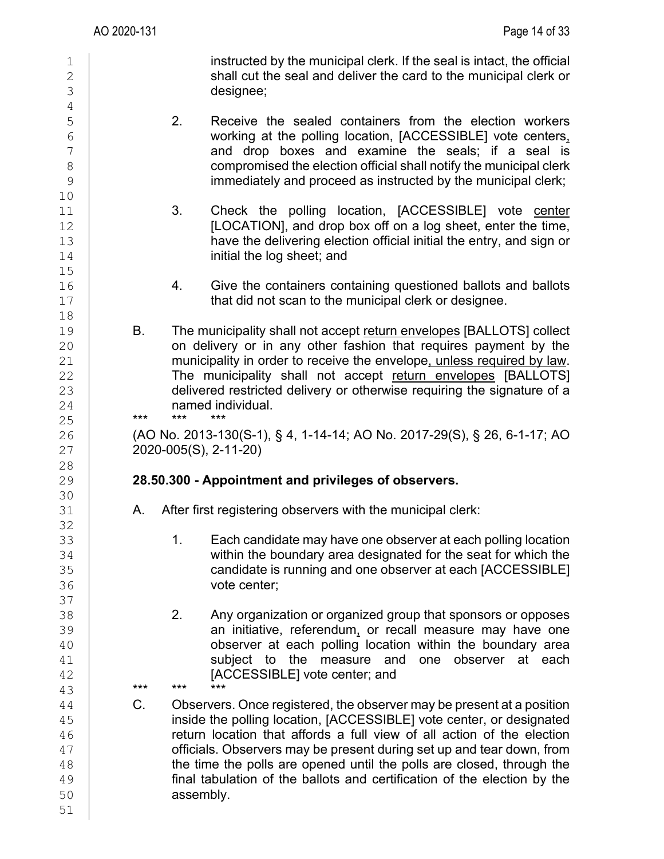4<br>5

10

 $15$ <br> $16$ 

18<br>19

28<br>29

30<br>31

32<br>33

37<br>38

51

1 instructed by the municipal clerk. If the seal is intact, the official<br>
2 shall cut the seal and deliver the card to the municipal clerk or  $\begin{array}{c|c}\n2 \\
3\n\end{array}$  shall cut the seal and deliver the card to the municipal clerk or designee;

- 5 2. Receive the sealed containers from the election workers<br>6 working at the polling location, [ACCESSIBLE] vote centers,  $\begin{array}{c|c}\n6 & \phantom{0} & \phantom{0} & \phantom{0} & \phantom{0} & \phantom{0} & \phantom{0} & \phantom{0} & \phantom{0} & \phantom{0} & \phantom{0} & \phantom{0} & \phantom{0} & \phantom{0} & \phantom{0} & \phantom{0} & \phantom{0} & \phantom{0} & \phantom{0} & \phantom{0} & \phantom{0} & \phantom{0} & \phantom{0} & \phantom{0} & \phantom{0} & \phantom{0} & \phantom{0} & \phantom{0} & \phantom{0} & \phantom{0} & \phantom{0$  $\begin{array}{c|cc}\n7 & \phantom{1} \\
8 & \phantom{1} \\
\end{array}$  and drop boxes and examine the seals; if a seal is compromised the election official shall notify the municipal clerk 8 compromised the election official shall notify the municipal clerk<br>9 compromised the election official shall notify the municipal clerk: immediately and proceed as instructed by the municipal clerk;
- 11 1 3. Check the polling location, [ACCESSIBLE] vote center<br>12 **12 ILOCATIONI** and drop box off on a log sheet, enter the time. 12 [LOCATION], and drop box off on a log sheet, enter the time,<br>13 have the delivering election official initial the entry and sign or 13 have the delivering election official initial the entry, and sign or <br>14 **have the log sheet:** and initial the log sheet; and
- 16 16 4. Give the containers containing questioned ballots and ballots 17 that did not scan to the municipal clerk or designee.
- 19 B. The municipality shall not accept return envelopes [BALLOTS] collect<br>20 **B. Considering the state of the state of the constant of the state of the state of the state of the state of the** 20 on delivery or in any other fashion that requires payment by the 21 municipality in order to receive the envelope<u>, unless required by law</u>.<br>22 **The municipality shall not accept return envelopes IBALLOTSI** 22 The municipality shall not accept return envelopes [BALLOTS]<br>23 delivered restricted delivery or otherwise requiring the signature of a  $\begin{array}{c|c} 23 & \text{delivered restricted delivery or otherwise requiring the signature of a named individual.} \end{array}$ 24 **named individual.**<br>25 **\*\*\*** \*\*\* \*\*\* \*\*\*

25 \*\*\* \*\*\* \*\*\*

26 (AO No. 2013-130(S-1), § 4, 1-14-14; AO No. 2017-29(S), § 26, 6-1-17; AO 27 2020-005(S), 2-11-20)

## 29 **28.50.300 - Appointment and privileges of observers.**

- A. After first registering observers with the municipal clerk:
- 33 1. Each candidate may have one observer at each polling location<br>34 **1.** Within the boundary area designated for the seat for which the 34 within the boundary area designated for the seat for which the<br>35 candidate is running and one observer at each IACCESSIBLEI 35 candidate is running and one observer at each [ACCESSIBLE]<br>36 cote center: vote center;
- 2. Any organization or organized group that sponsors or opposes  $\begin{array}{c|c} 39 \end{array}$  an initiative, referendum, or recall measure may have one<br>40 **boserver at each polling location within the boundary area** 40 cobserver at each polling location within the boundary area<br>41 **buy sublect to the measure and one observer at each**  $\begin{array}{c|ccccc}\n 41 & & & \text{subject to the measure and one observer at each } \\
 42 & & & \text{IACCESSIBLEI vote center: and}\n\end{array}$ 42 [ACCESSIBLE] vote center; and

43 \*\*\* \*\*\* \*\*\*

44 C. Observers. Once registered, the observer may be present at a position<br>45 **C. Communisty of the polling location. [ACCESSIBLE]** vote center, or designated 45 inside the polling location, [ACCESSIBLE] vote center, or designated<br>46 **increased in the election** that affords a full view of all action of the election return location that affords a full view of all action of the election 47 officials. Observers may be present during set up and tear down, from<br>48 **the time the polls are opened until the polls are closed, through the** the time the polls are opened until the polls are closed, through the 49 **final tabulation of the ballots and certification of the election by the synchlongly**<br>50 **assembly**. assembly.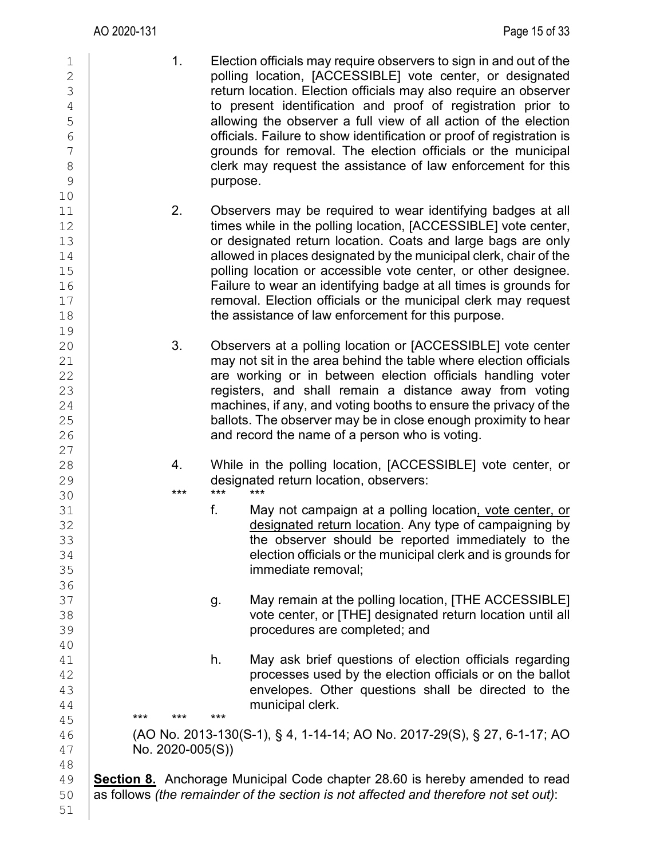51

1 1. Election officials may require observers to sign in and out of the<br>2 polling location, [ACCESSIBLE] vote center, or designated 2 polling location, [ACCESSIBLE] vote center, or designated<br>3 3 creturn location. Election officials may also require an observer<br>
to present identification and proof of registration prior to 4 to present identification and proof of registration prior to<br>allowing the observer a full view of all action of the election 5 allowing the observer a full view of all action of the election<br>6 officials. Failure to show identification or proof of registration is  $\begin{array}{c|c}\n6 & \phantom{0} \\
7 & \phantom{0} \\
\end{array}$  officials. Failure to show identification or proof of registration is<br>
arounds for removal. The election officials or the municipal 7 grounds for removal. The election officials or the municipal<br>8 clerk may request the assistance of law enforcement for this 8 clerk may request the assistance of law enforcement for this<br>9 purpose. 10 11 1 2. Observers may be required to wear identifying badges at all<br>12 times while in the polling location. [ACCESSIBLE] vote center. 12 times while in the polling location, [ACCESSIBLE] vote center,<br>13 or designated return location. Coats and large bags are only 13 or designated return location. Coats and large bags are only<br>14 allowed in places designated by the municipal clerk, chair of the 14 allowed in places designated by the municipal clerk, chair of the<br>15 **bulling location or accessible vote center**, or other designee. 15 **polling location or accessible vote center, or other designee.**<br>16 **Failure to wear an identifying badge at all times is grounds for** 16 **Failure to wear an identifying badge at all times is grounds for**<br>17 **FRIC FRICT TENSIS IS EXECUTE TO A TENSIS FOR THE PRICE TO THE TENSIS OF THE PRICE TENSIS FOR THE PRICE TE** 17 **removal. Election officials or the municipal clerk may request**<br>18 **he assistance of law enforcement for this purpose**. the assistance of law enforcement for this purpose. 19 3. Observers at a polling location or [ACCESSIBLE] vote center 21 may not sit in the area behind the table where election officials<br>22 **hours** are working or in between election officials handling voter 22 are working or in between election officials handling voter<br>23 **houries 10 millions** registers, and shall remain a distance away from voting 23 contract registers, and shall remain a distance away from voting<br>24 machines if any and voting booths to ensure the privacy of the 24 machines, if any, and voting booths to ensure the privacy of the<br>25 ballots. The observer may be in close enough proximity to hear 25 ballots. The observer may be in close enough proximity to hear<br>26 **hours** and record the name of a person who is voting. and record the name of a person who is voting.  $\begin{array}{c} 27 \\ 28 \end{array}$ 28 4. While in the polling location, [ACCESSIBLE] vote center, or designated return location, observers: 29 designated return location, observers:<br>30 **\*\*\*** \*\*\* \*\*\* \*\*\* 30 \*\*\* \*\*\* \*\*\* 31 **f.** May not campaign at a polling location<u>, vote center, or</u><br>32 designated return location. Any type of campaigning by 32 designated return location. Any type of campaigning by<br>33 designated return location. Any type of campaigning by<br>33 33 (33 the observer should be reported immediately to the same of the observer should be reported immediately to the<br>34 selection officials or the municipal clerk and is grounds for  $\begin{array}{c|c} 34 & \textcolor{red}{\text{34}} & \textcolor{red}{\text{35}} \end{array}$ immediate removal: 36<br>37 37 g. May remain at the polling location, [THE ACCESSIBLE]<br>38 vote center, or [THE] designated return location until all vote center, or [THE] designated return location until all 39 procedures are completed; and 40<br>41  $\begin{array}{c|c} 41 & \textcolor{red}{\text{42}} \\ 42 & \textcolor{red}{\text{43}} \\ \end{array}$  h. May ask brief questions of election officials regarding 42 **degree of the system of the election officials or on the ballot**<br>43 **degree of the elections of the system of the elections** shall be directed to the 43 envelopes. Other questions shall be directed to the 44 envelopes. Other questions shall be directed to the  $\begin{array}{c}\n 44 \\
 45\n \end{array}$   $\begin{array}{ccc}\n \text{***} & \text{***} & \text{***} \\
 \text{***} & \text{***} & \text{***}\n \end{array}$ 45 \*\*\* \*\*\* \*\*\*  $\begin{array}{c|c} 46 & (\text{AO No. 2013-130(S-1), \S 4, 1-14-14; AO No. 2017-29(S), \S 27, 6-1-17; AO} \ \text{No. 2020-005(S))} \end{array}$  $No. 2020-005(S)$ 48<br>49 49 **Section 8.** Anchorage Municipal Code chapter 28.60 is hereby amended to read<br>50 as follows *(the remainder of the section is not affected and therefore not set out)*: 50 as follows *(the remainder of the section is not affected and therefore not set out)*: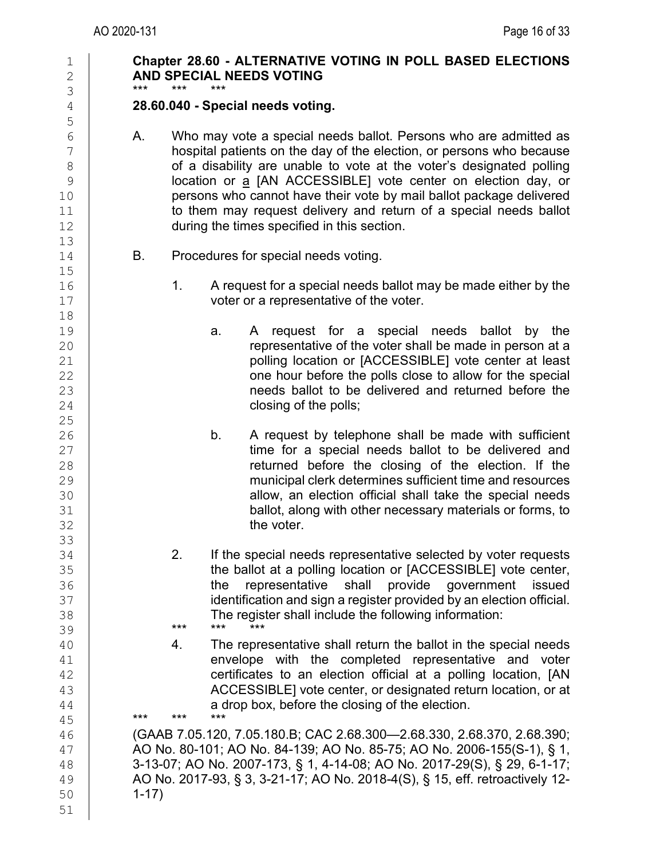| $\mathbf 1$<br>$\mathbf{2}$<br>3                                            | Chapter 28.60 - ALTERNATIVE VOTING IN POLL BASED ELECTIONS<br>AND SPECIAL NEEDS VOTING<br>$***$<br>***<br>***                                                                                                                                                                                                                                                                                                                                                                      |
|-----------------------------------------------------------------------------|------------------------------------------------------------------------------------------------------------------------------------------------------------------------------------------------------------------------------------------------------------------------------------------------------------------------------------------------------------------------------------------------------------------------------------------------------------------------------------|
| $\overline{4}$<br>5                                                         | 28.60.040 - Special needs voting.                                                                                                                                                                                                                                                                                                                                                                                                                                                  |
| $6\,$<br>$\overline{7}$<br>$\,8\,$<br>$\mathcal{G}$<br>10<br>11<br>12<br>13 | Α.<br>Who may vote a special needs ballot. Persons who are admitted as<br>hospital patients on the day of the election, or persons who because<br>of a disability are unable to vote at the voter's designated polling<br>location or a [AN ACCESSIBLE] vote center on election day, or<br>persons who cannot have their vote by mail ballot package delivered<br>to them may request delivery and return of a special needs ballot<br>during the times specified in this section. |
| 14<br>15                                                                    | В.<br>Procedures for special needs voting.                                                                                                                                                                                                                                                                                                                                                                                                                                         |
| 16<br>17                                                                    | 1.<br>A request for a special needs ballot may be made either by the<br>voter or a representative of the voter.                                                                                                                                                                                                                                                                                                                                                                    |
| 18<br>19<br>20<br>21<br>22<br>23<br>24                                      | A request for a special needs ballot by the<br>a.<br>representative of the voter shall be made in person at a<br>polling location or [ACCESSIBLE] vote center at least<br>one hour before the polls close to allow for the special<br>needs ballot to be delivered and returned before the<br>closing of the polls;                                                                                                                                                                |
| 25<br>26<br>27<br>28<br>29<br>30<br>31<br>32<br>33                          | b.<br>A request by telephone shall be made with sufficient<br>time for a special needs ballot to be delivered and<br>returned before the closing of the election. If the<br>municipal clerk determines sufficient time and resources<br>allow, an election official shall take the special needs<br>ballot, along with other necessary materials or forms, to<br>the voter.                                                                                                        |
| 34<br>35<br>36<br>37<br>38<br>39                                            | 2.<br>If the special needs representative selected by voter requests<br>the ballot at a polling location or [ACCESSIBLE] vote center,<br>representative<br>shall provide government<br>the<br>issued<br>identification and sign a register provided by an election official.<br>The register shall include the following information:<br>$***$<br>***<br>$***$                                                                                                                     |
| 40<br>41<br>42<br>43<br>44<br>45                                            | The representative shall return the ballot in the special needs<br>4.<br>envelope with the completed representative and voter<br>certificates to an election official at a polling location, [AN<br>ACCESSIBLE] vote center, or designated return location, or at<br>a drop box, before the closing of the election.<br>$***$<br>***<br>$***$                                                                                                                                      |
| 46<br>47<br>48<br>49<br>50<br>51                                            | (GAAB 7.05.120, 7.05.180.B; CAC 2.68.300-2.68.330, 2.68.370, 2.68.390;<br>AO No. 80-101; AO No. 84-139; AO No. 85-75; AO No. 2006-155(S-1), § 1,<br>3-13-07; AO No. 2007-173, § 1, 4-14-08; AO No. 2017-29(S), § 29, 6-1-17;<br>AO No. 2017-93, § 3, 3-21-17; AO No. 2018-4(S), § 15, eff. retroactively 12-<br>$1 - 17$                                                                                                                                                           |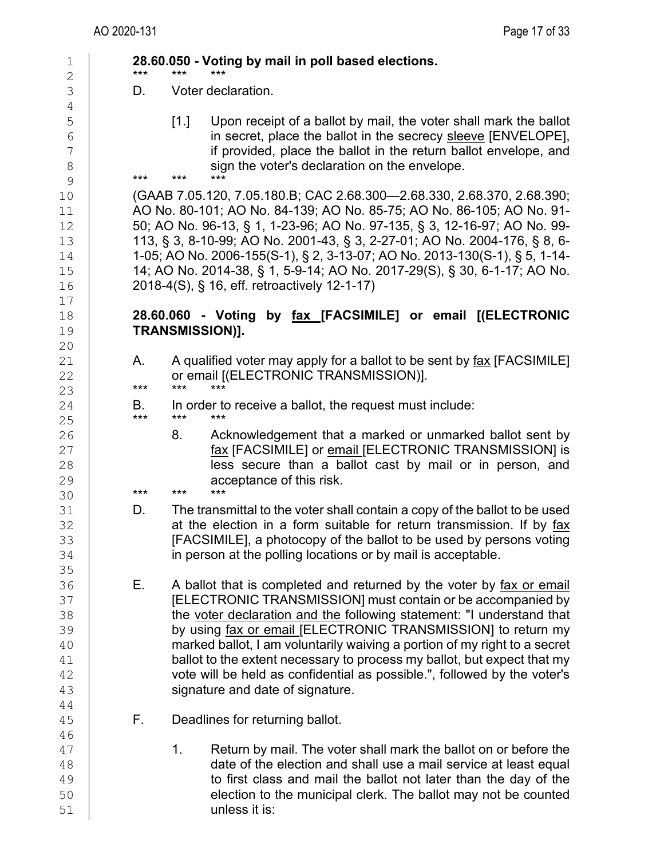| $\mathbf 1$<br>$\overline{2}$                  | ***       | 28.60.050 - Voting by mail in poll based elections.<br>***<br>***                                                                                                                                                                                                                                                                                                                                                                                                                                                                                    |
|------------------------------------------------|-----------|------------------------------------------------------------------------------------------------------------------------------------------------------------------------------------------------------------------------------------------------------------------------------------------------------------------------------------------------------------------------------------------------------------------------------------------------------------------------------------------------------------------------------------------------------|
| 3                                              | D.        | Voter declaration.                                                                                                                                                                                                                                                                                                                                                                                                                                                                                                                                   |
| $\sqrt{4}$<br>5<br>$\sqrt{6}$<br>7<br>8<br>9   | ***       | Upon receipt of a ballot by mail, the voter shall mark the ballot<br>$\lceil 1 \rceil$<br>in secret, place the ballot in the secrecy sleeve [ENVELOPE],<br>if provided, place the ballot in the return ballot envelope, and<br>sign the voter's declaration on the envelope.<br>***<br>***                                                                                                                                                                                                                                                           |
| $10$<br>11<br>12<br>13<br>14<br>15<br>16<br>17 |           | (GAAB 7.05.120, 7.05.180.B; CAC 2.68.300-2.68.330, 2.68.370, 2.68.390;<br>AO No. 80-101; AO No. 84-139; AO No. 85-75; AO No. 86-105; AO No. 91-<br>50; AO No. 96-13, § 1, 1-23-96; AO No. 97-135, § 3, 12-16-97; AO No. 99-<br>113, § 3, 8-10-99; AO No. 2001-43, § 3, 2-27-01; AO No. 2004-176, § 8, 6-<br>1-05; AO No. 2006-155(S-1), § 2, 3-13-07; AO No. 2013-130(S-1), § 5, 1-14-<br>14; AO No. 2014-38, § 1, 5-9-14; AO No. 2017-29(S), § 30, 6-1-17; AO No.<br>2018-4(S), § 16, eff. retroactively 12-1-17)                                   |
| 18<br>19<br>20                                 |           | 28.60.060 - Voting<br>by fax [FACSIMILE] or email [(ELECTRONIC<br><b>TRANSMISSION)].</b>                                                                                                                                                                                                                                                                                                                                                                                                                                                             |
| 21<br>22<br>23                                 | А.<br>*** | A qualified voter may apply for a ballot to be sent by fax [FACSIMILE]<br>or email [(ELECTRONIC TRANSMISSION)].<br>$***$<br>***                                                                                                                                                                                                                                                                                                                                                                                                                      |
| 24<br>25                                       | В.<br>*** | In order to receive a ballot, the request must include:<br>$***$<br>***                                                                                                                                                                                                                                                                                                                                                                                                                                                                              |
| 26<br>27<br>28<br>29                           | ***       | Acknowledgement that a marked or unmarked ballot sent by<br>8.<br><u>fax</u> [FACSIMILE] or email [ELECTRONIC TRANSMISSION] is<br>less secure than a ballot cast by mail or in person, and<br>acceptance of this risk.<br>***<br>***                                                                                                                                                                                                                                                                                                                 |
| 30<br>31<br>32<br>33<br>34<br>35               | D.        | The transmittal to the voter shall contain a copy of the ballot to be used<br>at the election in a form suitable for return transmission. If by fax<br>[FACSIMILE], a photocopy of the ballot to be used by persons voting<br>in person at the polling locations or by mail is acceptable.                                                                                                                                                                                                                                                           |
| 36<br>37<br>38<br>39<br>40<br>41<br>42<br>43   | Е.        | A ballot that is completed and returned by the voter by fax or email<br>[ELECTRONIC TRANSMISSION] must contain or be accompanied by<br>the voter declaration and the following statement: "I understand that<br>by using fax or email [ELECTRONIC TRANSMISSION] to return my<br>marked ballot, I am voluntarily waiving a portion of my right to a secret<br>ballot to the extent necessary to process my ballot, but expect that my<br>vote will be held as confidential as possible.", followed by the voter's<br>signature and date of signature. |
| 44<br>45                                       | F.        | Deadlines for returning ballot.                                                                                                                                                                                                                                                                                                                                                                                                                                                                                                                      |
| 46<br>47<br>48<br>49<br>50<br>51               |           | 1 <sub>1</sub><br>Return by mail. The voter shall mark the ballot on or before the<br>date of the election and shall use a mail service at least equal<br>to first class and mail the ballot not later than the day of the<br>election to the municipal clerk. The ballot may not be counted<br>unless it is:                                                                                                                                                                                                                                        |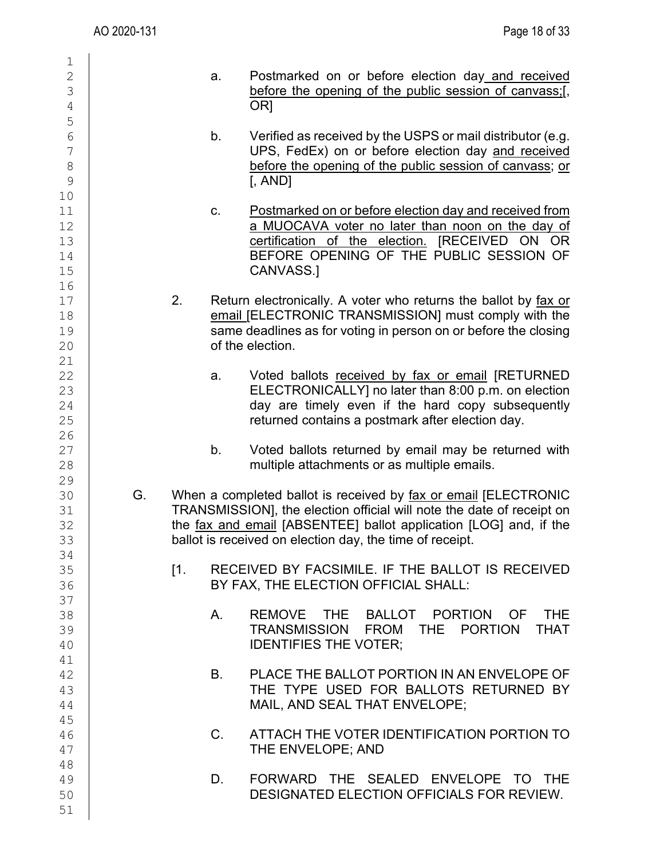| 1<br>$\mathbf{2}$<br>3<br>$\overline{4}$           |    |                 | a.          | Postmarked on or before election day and received<br>before the opening of the public session of canvass;[<br>OR <sub>1</sub>                                                                                                                                             |
|----------------------------------------------------|----|-----------------|-------------|---------------------------------------------------------------------------------------------------------------------------------------------------------------------------------------------------------------------------------------------------------------------------|
| 5<br>6<br>$\overline{7}$<br>$8\,$<br>$\mathcal{G}$ |    |                 | b.          | Verified as received by the USPS or mail distributor (e.g.<br>UPS, FedEx) on or before election day and received<br>before the opening of the public session of canvass; or<br>$[$ , AND $]$                                                                              |
| 10<br>11<br>12<br>13<br>14<br>15                   |    |                 | C.          | Postmarked on or before election day and received from<br>a MUOCAVA voter no later than noon on the day of<br>certification of the election. [RECEIVED ON OR<br>BEFORE OPENING OF THE PUBLIC SESSION OF<br>CANVASS.]                                                      |
| 16<br>17<br>18<br>19<br>20                         |    | 2.              |             | Return electronically. A voter who returns the ballot by fax or<br>email [ELECTRONIC TRANSMISSION] must comply with the<br>same deadlines as for voting in person on or before the closing<br>of the election.                                                            |
| 21<br>22<br>23<br>24<br>25                         |    |                 | a.          | Voted ballots received by fax or email [RETURNED<br>ELECTRONICALLY] no later than 8:00 p.m. on election<br>day are timely even if the hard copy subsequently<br>returned contains a postmark after election day.                                                          |
| 26<br>27<br>28                                     |    |                 | b.          | Voted ballots returned by email may be returned with<br>multiple attachments or as multiple emails.                                                                                                                                                                       |
| 29<br>30<br>31<br>32<br>33                         | G. |                 |             | When a completed ballot is received by fax or email [ELECTRONIC<br>TRANSMISSION], the election official will note the date of receipt on<br>the fax and email [ABSENTEE] ballot application [LOG] and, if the<br>ballot is received on election day, the time of receipt. |
| 34<br>35<br>36                                     |    | $\mathsf{I}1$ . |             | RECEIVED BY FACSIMILE. IF THE BALLOT IS RECEIVED<br>BY FAX, THE ELECTION OFFICIAL SHALL:                                                                                                                                                                                  |
| 37<br>38<br>39<br>40                               |    |                 | Α.          | REMOVE THE BALLOT PORTION OF THE<br>TRANSMISSION FROM THE PORTION THAT<br><b>IDENTIFIES THE VOTER:</b>                                                                                                                                                                    |
| 41<br>42<br>43<br>44                               |    |                 | <b>B</b> .  | PLACE THE BALLOT PORTION IN AN ENVELOPE OF<br>THE TYPE USED FOR BALLOTS RETURNED BY<br>MAIL, AND SEAL THAT ENVELOPE;                                                                                                                                                      |
| 45<br>46<br>47                                     |    |                 | $C_{\cdot}$ | ATTACH THE VOTER IDENTIFICATION PORTION TO<br>THE ENVELOPE; AND                                                                                                                                                                                                           |
| 48<br>49<br>50<br>51                               |    |                 | D.          | FORWARD THE SEALED ENVELOPE TO THE<br>DESIGNATED ELECTION OFFICIALS FOR REVIEW.                                                                                                                                                                                           |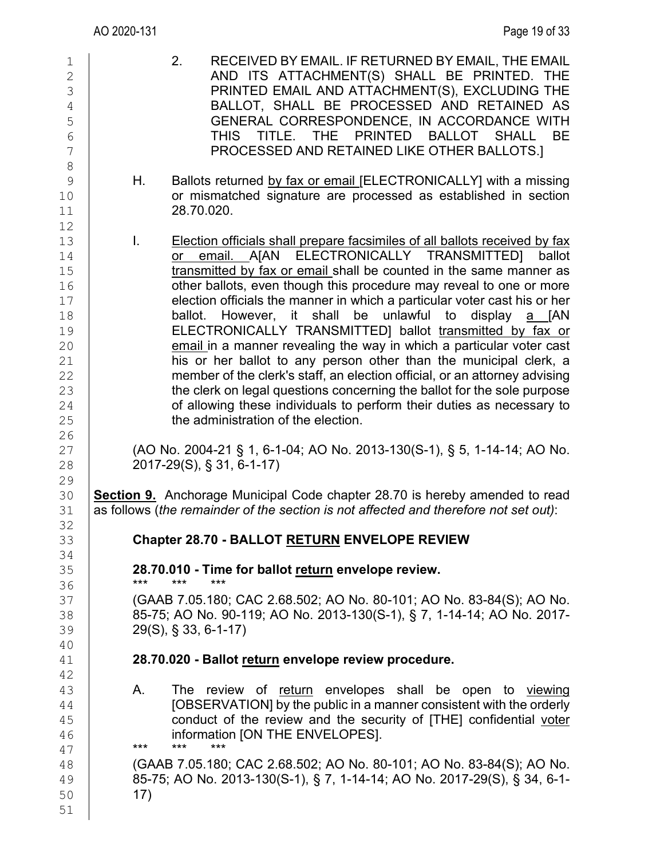| $1\,$<br>$\overline{2}$<br>3<br>$\sqrt{4}$<br>5<br>$6\phantom{a}$<br>$\overline{7}$<br>8 | RECEIVED BY EMAIL. IF RETURNED BY EMAIL, THE EMAIL<br>2.<br>AND ITS ATTACHMENT(S) SHALL BE PRINTED. THE<br>PRINTED EMAIL AND ATTACHMENT(S), EXCLUDING THE<br>BALLOT, SHALL BE PROCESSED AND RETAINED AS<br>GENERAL CORRESPONDENCE, IN ACCORDANCE WITH<br>TITLE.<br><b>THE</b><br><b>PRINTED</b><br><b>BALLOT</b><br><b>THIS</b><br><b>SHALL</b><br><b>BE</b><br>PROCESSED AND RETAINED LIKE OTHER BALLOTS.]                                                                                                                                                                                                                                                                                                                                                                                                                                                                                                 |
|------------------------------------------------------------------------------------------|-------------------------------------------------------------------------------------------------------------------------------------------------------------------------------------------------------------------------------------------------------------------------------------------------------------------------------------------------------------------------------------------------------------------------------------------------------------------------------------------------------------------------------------------------------------------------------------------------------------------------------------------------------------------------------------------------------------------------------------------------------------------------------------------------------------------------------------------------------------------------------------------------------------|
| 9<br>10<br>11<br>12                                                                      | Η.<br>Ballots returned by fax or email [ELECTRONICALLY] with a missing<br>or mismatched signature are processed as established in section<br>28.70.020.                                                                                                                                                                                                                                                                                                                                                                                                                                                                                                                                                                                                                                                                                                                                                     |
| 13<br>14<br>15<br>16<br>17<br>18<br>19<br>20<br>21<br>22<br>23<br>24<br>25<br>26         | I.<br>Election officials shall prepare facsimiles of all ballots received by fax<br>or email. A[AN ELECTRONICALLY TRANSMITTED] ballot<br>transmitted by fax or email shall be counted in the same manner as<br>other ballots, even though this procedure may reveal to one or more<br>election officials the manner in which a particular voter cast his or her<br>ballot. However, it shall be unlawful to display a [AN<br>ELECTRONICALLY TRANSMITTED] ballot transmitted by fax or<br>email in a manner revealing the way in which a particular voter cast<br>his or her ballot to any person other than the municipal clerk, a<br>member of the clerk's staff, an election official, or an attorney advising<br>the clerk on legal questions concerning the ballot for the sole purpose<br>of allowing these individuals to perform their duties as necessary to<br>the administration of the election. |
| 27<br>28<br>29                                                                           | (AO No. 2004-21 § 1, 6-1-04; AO No. 2013-130(S-1), § 5, 1-14-14; AO No.<br>2017-29(S), § 31, 6-1-17)                                                                                                                                                                                                                                                                                                                                                                                                                                                                                                                                                                                                                                                                                                                                                                                                        |
| 30<br>31                                                                                 | <b>Section 9.</b> Anchorage Municipal Code chapter 28.70 is hereby amended to read<br>as follows (the remainder of the section is not affected and therefore not set out):                                                                                                                                                                                                                                                                                                                                                                                                                                                                                                                                                                                                                                                                                                                                  |
| 32<br>33<br>34                                                                           | Chapter 28.70 - BALLOT RETURN ENVELOPE REVIEW                                                                                                                                                                                                                                                                                                                                                                                                                                                                                                                                                                                                                                                                                                                                                                                                                                                               |
| 35<br>36                                                                                 | 28.70.010 - Time for ballot return envelope review.<br>$***$<br>$***$<br>***                                                                                                                                                                                                                                                                                                                                                                                                                                                                                                                                                                                                                                                                                                                                                                                                                                |
| 37<br>38<br>39<br>40                                                                     | (GAAB 7.05.180; CAC 2.68.502; AO No. 80-101; AO No. 83-84(S); AO No.<br>85-75; AO No. 90-119; AO No. 2013-130(S-1), § 7, 1-14-14; AO No. 2017-<br>$29(S)$ , § 33, 6-1-17)                                                                                                                                                                                                                                                                                                                                                                                                                                                                                                                                                                                                                                                                                                                                   |
| 41<br>42                                                                                 | 28.70.020 - Ballot return envelope review procedure.                                                                                                                                                                                                                                                                                                                                                                                                                                                                                                                                                                                                                                                                                                                                                                                                                                                        |
| 43<br>44<br>45<br>46<br>47                                                               | The review of return envelopes shall be open<br>А.<br>to viewing<br>[OBSERVATION] by the public in a manner consistent with the orderly<br>conduct of the review and the security of [THE] confidential voter<br>information [ON THE ENVELOPES].<br>$***$<br>***<br>***                                                                                                                                                                                                                                                                                                                                                                                                                                                                                                                                                                                                                                     |
| 48<br>49<br>50<br>51                                                                     | (GAAB 7.05.180; CAC 2.68.502; AO No. 80-101; AO No. 83-84(S); AO No.<br>85-75; AO No. 2013-130(S-1), § 7, 1-14-14; AO No. 2017-29(S), § 34, 6-1-<br>17)                                                                                                                                                                                                                                                                                                                                                                                                                                                                                                                                                                                                                                                                                                                                                     |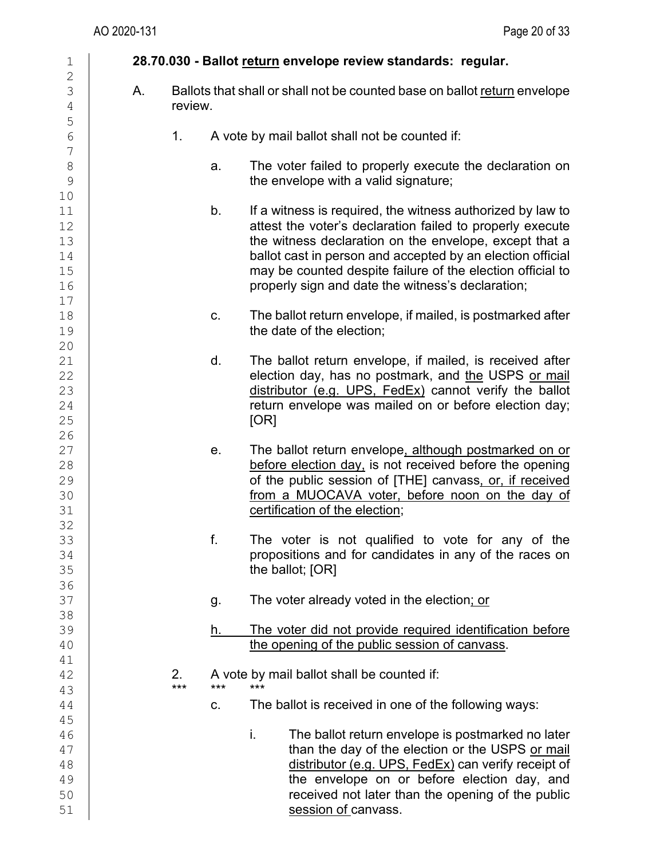| $\mathbf 1$                                    |    |           |     | 28.70.030 - Ballot return envelope review standards: regular.                                                                                                                                                                                                                                                                                                      |
|------------------------------------------------|----|-----------|-----|--------------------------------------------------------------------------------------------------------------------------------------------------------------------------------------------------------------------------------------------------------------------------------------------------------------------------------------------------------------------|
| $\overline{c}$<br>3<br>$\sqrt{4}$              | Α. | review.   |     | Ballots that shall or shall not be counted base on ballot return envelope                                                                                                                                                                                                                                                                                          |
| 5<br>$\overline{6}$                            |    | 1.        |     | A vote by mail ballot shall not be counted if:                                                                                                                                                                                                                                                                                                                     |
| $\overline{7}$<br>$\,8\,$<br>9                 |    |           | a.  | The voter failed to properly execute the declaration on<br>the envelope with a valid signature;                                                                                                                                                                                                                                                                    |
| 10<br>11<br>12<br>13<br>14<br>15<br>16<br>$17$ |    |           | b.  | If a witness is required, the witness authorized by law to<br>attest the voter's declaration failed to properly execute<br>the witness declaration on the envelope, except that a<br>ballot cast in person and accepted by an election official<br>may be counted despite failure of the election official to<br>properly sign and date the witness's declaration; |
| 18<br>19                                       |    |           | c.  | The ballot return envelope, if mailed, is postmarked after<br>the date of the election;                                                                                                                                                                                                                                                                            |
| 20<br>21<br>22<br>23<br>24<br>25<br>26         |    |           | d.  | The ballot return envelope, if mailed, is received after<br>election day, has no postmark, and the USPS or mail<br>distributor (e.g. UPS, FedEx) cannot verify the ballot<br>return envelope was mailed on or before election day;<br>[OR]                                                                                                                         |
| 27<br>28<br>29<br>30<br>31<br>32               |    |           | е.  | The ballot return envelope, although postmarked on or<br>before election day, is not received before the opening<br>of the public session of [THE] canvass, or, if received<br>from a MUOCAVA voter, before noon on the day of<br>certification of the election;                                                                                                   |
| 33<br>34<br>35                                 |    |           | f.  | The voter is not qualified to vote for any of the<br>propositions and for candidates in any of the races on<br>the ballot; [OR]                                                                                                                                                                                                                                    |
| 36<br>37<br>38                                 |    |           | g.  | The voter already voted in the election; or                                                                                                                                                                                                                                                                                                                        |
| 39<br>40                                       |    |           | h.  | The voter did not provide required identification before<br>the opening of the public session of canvass.                                                                                                                                                                                                                                                          |
| 41<br>42<br>43                                 |    | 2.<br>*** | *** | A vote by mail ballot shall be counted if:<br>***                                                                                                                                                                                                                                                                                                                  |
| 44<br>45                                       |    |           | C.  | The ballot is received in one of the following ways:                                                                                                                                                                                                                                                                                                               |
| 46<br>47<br>48<br>49<br>50<br>51               |    |           |     | i.<br>The ballot return envelope is postmarked no later<br>than the day of the election or the USPS or mail<br>distributor (e.g. UPS, FedEx) can verify receipt of<br>the envelope on or before election day, and<br>received not later than the opening of the public<br>session of canvass.                                                                      |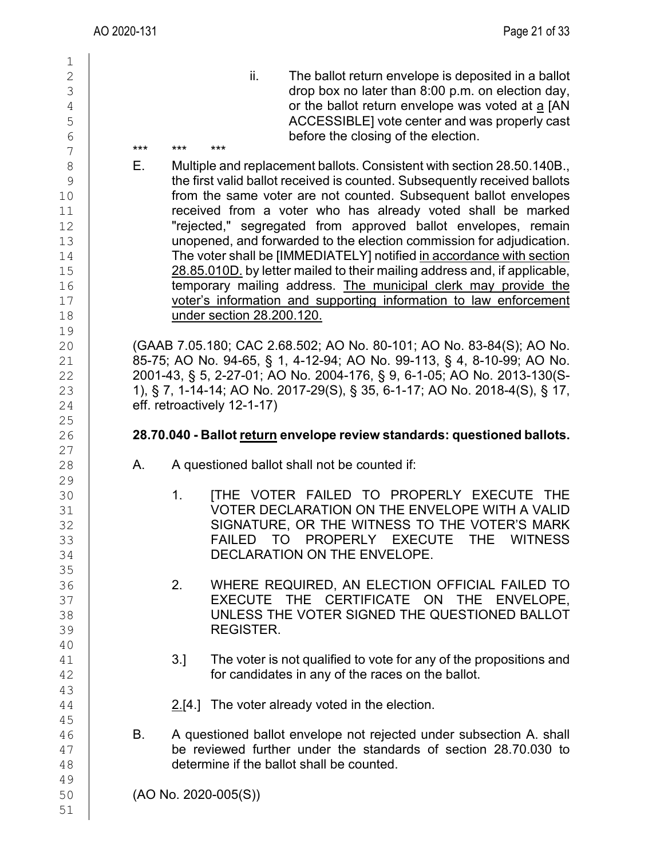$\frac{1}{2}$ 2 ii. The ballot return envelope is deposited in a ballot 3 interval of the ballot return envelope is deposited in a ballot 3  $\begin{array}{c|c}\n 3 \\
 4\n \end{array}$  drop box no later than 8:00 p.m. on election day,<br>or the ballot return envelope was voted at a [AN  $\begin{array}{c|c} 4 & 9 \\ 10 & 1 \end{array}$  or the ballot return envelope was voted at <u>a</u> [AN ACCESSIBLE] vote center and was properly cast 5 ACCESSIBLE] vote center and was properly cast<br>6  $\begin{array}{c|c|c|c|c|c} \hline 6 & & & \text{before the closing of the election.} \ \hline 7 & & & & \text{***} & & \text{***} & & \text{***} & \end{array}$ 7 \*\*\* \*\*\* \*\*\* 8 E. Multiple and replacement ballots. Consistent with section 28.50.140B.,<br>9 the first valid ballot received is counted. Subsequently received ballots 9 the first valid ballot received is counted. Subsequently received ballots<br>from the same voter are not counted. Subsequent ballot envelopes from the same voter are not counted. Subsequent ballot envelopes  $\begin{array}{c|c} 11 & \hspace{13.5mm} & \hspace{13.5mm} & \hspace{13.5mm} & \hspace{13.5mm} & \hspace{13.5mm} & \hspace{13.5mm} & \hspace{13.5mm} & \hspace{13.5mm} & \hspace{13.5mm} & \hspace{13.5mm} & \hspace{13.5mm} & \hspace{13.5mm} & \hspace{13.5mm} & \hspace{13.5mm} & \hspace{13.5mm} & \hspace{13.5mm} & \hspace{13.5mm} & \hspace{13.5mm} & \hspace{13.5mm$ 12 Trejected," segregated from approved ballot envelopes, remain<br>13 **Transference and forwarded to the election commission for adiudication.** 13 unopened, and forwarded to the election commission for adjudication.<br>14 The voter shall be [IMMEDIATELY] notified in accordance with section 14 The voter shall be [IMMEDIATELY] notified <u>in accordance with section [15]</u><br>15 **The 28.85.010D, by letter mailed to their mailing address and, if applicable.** 15 28.85.010D. by letter mailed to their mailing address and, if applicable,<br>16 **16** temporary mailing address. The municipal clerk may provide the 16 temporary mailing address. The municipal clerk may provide the<br>17 voter's information and supporting information to law enforcement 17 voter's information and supporting information to law enforcement<br>18 **communist contracts** under section 28.200.120. under section 28.200.120. 19<br>20 20 (GAAB 7.05.180; CAC 2.68.502; AO No. 80-101; AO No. 83-84(S); AO No. 21 85-75; AO No. 94-65, § 1, 4-12-94; AO No. 99-113, § 4, 8-10-99; AO No. 22<br>22 2001-43, § 5, 2-27-01: AO No. 2004-176, § 9, 6-1-05: AO No. 2013-130  $\begin{array}{c|c} 22 & 2001-43, \, \S\,5, \, 2\text{-}27\text{-}01; \, \text{AO No. 2004-176,} \, \S\,9, \, 6\text{-}1\text{-}05; \, \text{AO No. 2013-130(S-1).} \ \hline \end{array}$  1),  $\begin{array}{c} 87, 1\text{-}14\text{-}14; \, \text{AO No. 2017-29(S).} \, \S\,35, \, 6\text{-}1\text{-}17; \, \text{AO No. 2018-}4(S). \, \S$ 23 1), § 7, 1-14-14; AO No. 2017-29(S), § 35, 6-1-17; AO No. 2018-4(S), § 17, eff. retroactively 12-1-17) eff. retroactively 12-1-17)  $\frac{25}{26}$ 26 **28.70.040 - Ballot return envelope review standards: questioned ballots.**  $\frac{27}{28}$ A. A questioned ballot shall not be counted if: 29<br>30 30 1. [THE VOTER FAILED TO PROPERLY EXECUTE THE<br>31 VOTER DECLARATION ON THE ENVELOPE WITH A VALID 31 VOTER DECLARATION ON THE ENVELOPE WITH A VALID<br>32 SIGNATURE, OR THE WITNESS TO THE VOTER'S MARK 32 SIGNATURE, OR THE WITNESS TO THE VOTER'S MARK [33]<br>33 SAILBO TO PROPERLY EXECUTE THE WITNESS 33 | FAILED TO PROPERLY EXECUTE THE WITNESS<br>34 DECLARATION ON THE ENVELOPE. DECLARATION ON THE ENVELOPE. 35<br>36 36 2. WHERE REQUIRED, AN ELECTION OFFICIAL FAILED TO 37 EXECUTE THE CERTIFICATE ON THE ENVELOPE,<br>38 UNLESS THE VOTER SIGNED THE QUESTIONED BALLOT UNLESS THE VOTER SIGNED THE QUESTIONED BALLOT 39 REGISTER. 40<br>41  $\begin{array}{c|c} 41 & 3. \end{array}$  The voter is not qualified to vote for any of the propositions and  $\begin{array}{c} 42 & 42 \end{array}$ for candidates in any of the races on the ballot. 43  $2.[4.]$  The voter already voted in the election. 45 B. A questioned ballot envelope not rejected under subsection A. shall  $\frac{47}{48}$  be reviewed further under the standards of section 28.70.030 to determine if the ballot shall be counted. determine if the ballot shall be counted. 49<br>50  $(AO No. 2020-005(S))$ 51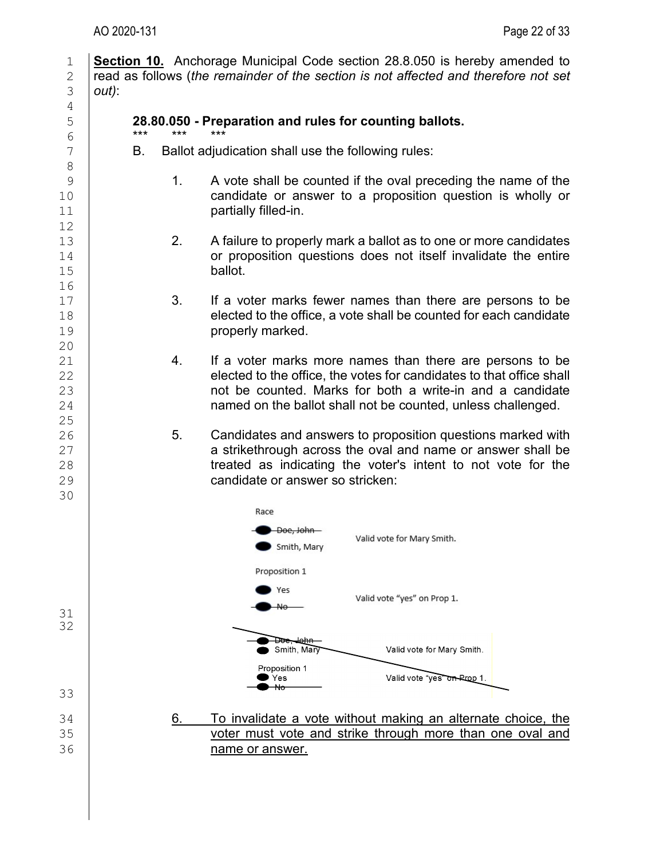1 **Section 10.** Anchorage Municipal Code section 28.8.050 is hereby amended to read as follows (*the remainder of the section is not affected and therefore not set* 2 read as follows (*the remainder of the section is not affected and therefore not set*  $\frac{3}{10}$  *out*): 3 *out)*: 4<br>5 5 **28.80.050 - Preparation and rules for counting ballots.** 6 \*\*\* \*\*\* \*\*\* 7 | B. Ballot adjudication shall use the following rules: 8 9 1. A vote shall be counted if the oval preceding the name of the<br>10 10 candidate or answer to a proposition question is wholly or candidate or answer to a proposition question is wholly or 11 **partially filled-in.** 12<br>13 13 13 2. A failure to properly mark a ballot as to one or more candidates<br>14 14 14  $\begin{array}{c|c} 14 & \text{or proposition questions does not itself invalidate the entire ball} \end{array}$ ballot. 16<br>17  $\begin{array}{c|c} 17 & 3. & \text{If a voter marks fewer names than there are persons to be } 18 & \text{elected to the office.} \end{array}$  $\begin{array}{c|c} 18 & \textcolor{red}{\big|} & \textcolor{red}{\big|} & \textcolor{red}{\big|} & \textcolor{red}{\big|} & \textcolor{red}{\big|} & \textcolor{red}{\big|} & \textcolor{red}{\big|} & \textcolor{red}{\big|} & \textcolor{red}{\big|} & \textcolor{red}{\big|} & \textcolor{red}{\big|} & \textcolor{red}{\big|} & \textcolor{red}{\big|} & \textcolor{red}{\big|} & \textcolor{red}{\big|} & \textcolor{red}{\big|} & \textcolor{red}{\big|} & \textcolor{red}{\big|} & \textcolor{red}{\big|$ properly marked. 20 21 21 4. If a voter marks more names than there are persons to be<br>22 elected to the office the votes for candidates to that office shall 22 elected to the office, the votes for candidates to that office shall<br>23 hot be counted. Marks for both a write-in and a candidate 23 **b 123** not be counted. Marks for both a write-in and a candidate 24 **hotain and a candidate** 24 named on the ballot shall not be counted, unless challenged. 25<br>26 26 5. Candidates and answers to proposition questions marked with  $\begin{array}{c|c} 27 & \phantom{0} \phantom{000} \phantom{0000} \phantom{00000} \phantom{00000} \phantom{000000} \phantom{000000} \phantom{000000} \phantom{000000} \phantom{000000} \phantom{0000000} \phantom{0000000} \phantom{000000} \phantom{000000} \phantom{000000} \phantom{000000} \phantom{000000} \phantom{000000} \phantom{000000} \phantom{0000$  $28$  treated as indicating the voter's intent to not vote for the candidate or answer so stricken: candidate or answer so stricken: 30 Race Doe, John-Valid vote for Mary Smith. Smith, Mary Proposition 1 Yes Valid vote "yes" on Prop 1. No. 31 32 <del>John</del> ॼॼॼ Smith, Mary Valid vote for Mary Smith. Proposition 1 Yes Valid vote "yes" on Prop 1.  $\overline{\mathsf{N}}$ o 33 34 **6. To invalidate a vote without making an alternate choice, the** 35 **6. To invalidate a vote without making an alternate choice, the** voter must vote and strike through more than one oval and 36 name or answer.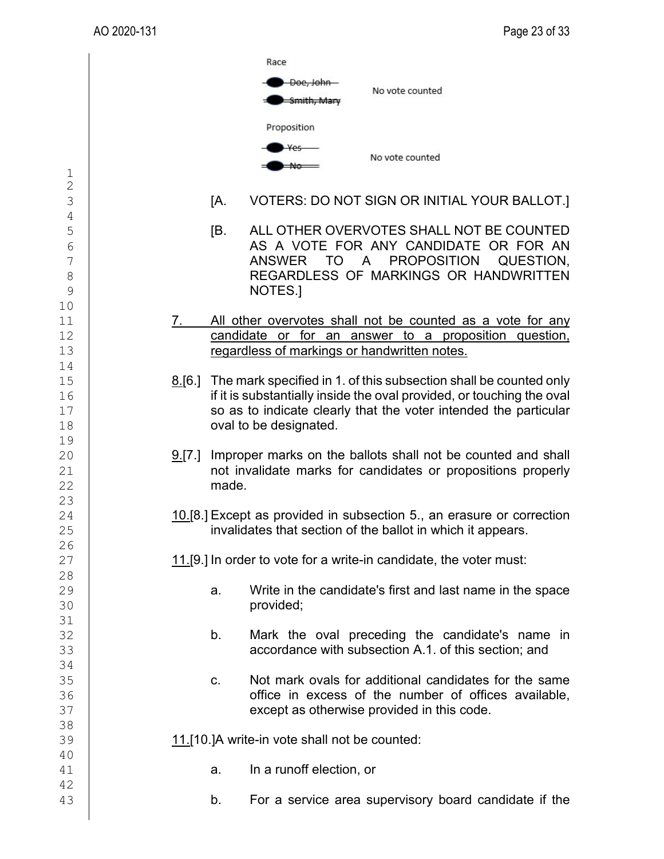|                            |          | Race<br><del>Doe, Johr</del><br>No vote counted                                                                                                                                                                                          |
|----------------------------|----------|------------------------------------------------------------------------------------------------------------------------------------------------------------------------------------------------------------------------------------------|
|                            |          | Proposition<br>No vote counted                                                                                                                                                                                                           |
| $\frac{1}{2}$<br>3         |          | [A.<br>VOTERS: DO NOT SIGN OR INITIAL YOUR BALLOT.]                                                                                                                                                                                      |
| 4<br>5<br>6<br>7<br>8<br>9 |          | ALL OTHER OVERVOTES SHALL NOT BE COUNTED<br>IB.<br>AS A VOTE FOR ANY CANDIDATE OR FOR AN<br>ANSWER TO A PROPOSITION QUESTION,<br>REGARDLESS OF MARKINGS OR HANDWRITTEN<br>NOTES.                                                         |
| 10<br>11<br>12<br>13       | 7.       | All other overvotes shall not be counted as a vote for any<br>candidate or for an answer to a proposition question,<br>regardless of markings or handwritten notes.                                                                      |
| 14<br>15<br>16<br>17<br>18 | $8.6$ ]  | The mark specified in 1. of this subsection shall be counted only<br>if it is substantially inside the oval provided, or touching the oval<br>so as to indicate clearly that the voter intended the particular<br>oval to be designated. |
| 19<br>20<br>21<br>22<br>23 | $9.7$ .] | Improper marks on the ballots shall not be counted and shall<br>not invalidate marks for candidates or propositions properly<br>made.                                                                                                    |
| 24<br>25                   |          | 10.[8.] Except as provided in subsection 5., an erasure or correction<br>invalidates that section of the ballot in which it appears.                                                                                                     |
| 26<br>27                   |          | 11.[9.] In order to vote for a write-in candidate, the voter must:                                                                                                                                                                       |
| 28<br>29<br>30             |          | Write in the candidate's first and last name in the space<br>a.<br>provided;                                                                                                                                                             |
| 31<br>32<br>33             |          | b.<br>Mark the oval preceding the candidate's name in<br>accordance with subsection A.1. of this section; and                                                                                                                            |
| 34<br>35<br>36<br>37       |          | Not mark ovals for additional candidates for the same<br>C.<br>office in excess of the number of offices available,<br>except as otherwise provided in this code.                                                                        |
| 38<br>39                   |          | 11.[10.]A write-in vote shall not be counted:                                                                                                                                                                                            |
| 40<br>41<br>42             |          | In a runoff election, or<br>a.                                                                                                                                                                                                           |
| 43                         |          | For a service area supervisory board candidate if the<br>b.                                                                                                                                                                              |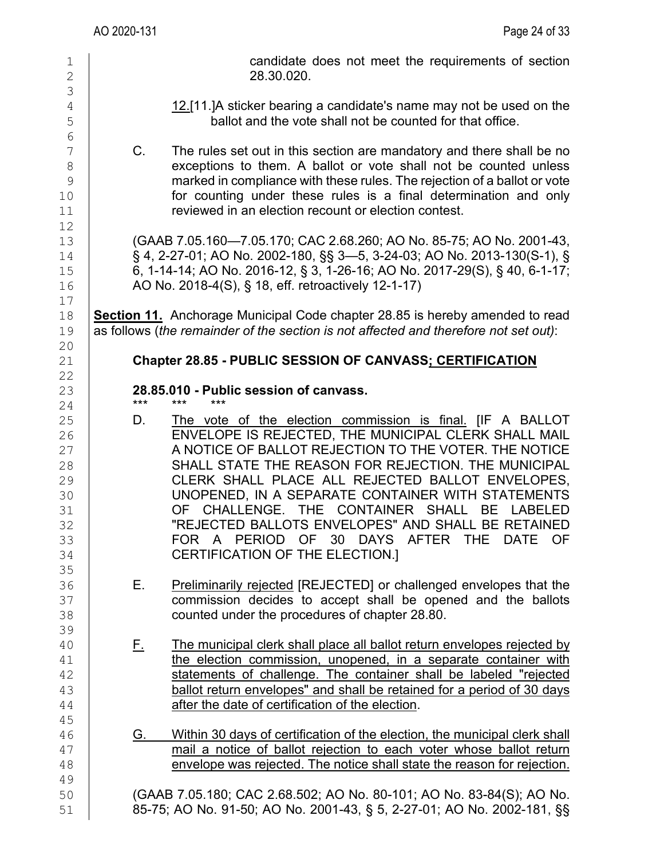| Page 24 of 33                                                                                                                                                                                                                                                                                                                                                                                                                                                                                                                                            | AO 2020-131                                                                         |
|----------------------------------------------------------------------------------------------------------------------------------------------------------------------------------------------------------------------------------------------------------------------------------------------------------------------------------------------------------------------------------------------------------------------------------------------------------------------------------------------------------------------------------------------------------|-------------------------------------------------------------------------------------|
| candidate does not meet the requirements of section<br>28.30.020.                                                                                                                                                                                                                                                                                                                                                                                                                                                                                        | 1<br>$\overline{2}$<br>3                                                            |
| 12.[11.] A sticker bearing a candidate's name may not be used on the<br>ballot and the vote shall not be counted for that office.                                                                                                                                                                                                                                                                                                                                                                                                                        | $\overline{4}$<br>5<br>6                                                            |
| The rules set out in this section are mandatory and there shall be no<br>exceptions to them. A ballot or vote shall not be counted unless<br>marked in compliance with these rules. The rejection of a ballot or vote<br>for counting under these rules is a final determination and only<br>reviewed in an election recount or election contest.                                                                                                                                                                                                        | $C_{\cdot}$<br>7<br>8<br>9<br>10<br>11                                              |
| (GAAB 7.05.160-7.05.170; CAC 2.68.260; AO No. 85-75; AO No. 2001-43,<br>§ 4, 2-27-01; AO No. 2002-180, §§ 3-5, 3-24-03; AO No. 2013-130(S-1), §<br>6, 1-14-14; AO No. 2016-12, § 3, 1-26-16; AO No. 2017-29(S), § 40, 6-1-17;<br>AO No. 2018-4(S), § 18, eff. retroactively 12-1-17)                                                                                                                                                                                                                                                                     | 12<br>13<br>14<br>15<br>16<br>17                                                    |
| <b>Section 11.</b> Anchorage Municipal Code chapter 28.85 is hereby amended to read<br>as follows (the remainder of the section is not affected and therefore not set out):                                                                                                                                                                                                                                                                                                                                                                              | 18<br>19<br>20                                                                      |
| Chapter 28.85 - PUBLIC SESSION OF CANVASS; CERTIFICATION                                                                                                                                                                                                                                                                                                                                                                                                                                                                                                 | 21                                                                                  |
| 28.85.010 - Public session of canvass.                                                                                                                                                                                                                                                                                                                                                                                                                                                                                                                   | 22<br>23                                                                            |
| ***<br>$***$<br>The vote of the election commission is final. [IF A BALLOT<br>ENVELOPE IS REJECTED, THE MUNICIPAL CLERK SHALL MAIL<br>A NOTICE OF BALLOT REJECTION TO THE VOTER. THE NOTICE<br>SHALL STATE THE REASON FOR REJECTION. THE MUNICIPAL<br>CLERK SHALL PLACE ALL REJECTED BALLOT ENVELOPES,<br>UNOPENED, IN A SEPARATE CONTAINER WITH STATEMENTS<br>OF CHALLENGE. THE CONTAINER SHALL BE LABELED<br>"REJECTED BALLOTS ENVELOPES" AND SHALL BE RETAINED<br>FOR A PERIOD OF 30 DAYS AFTER THE<br>DATE<br>OF.<br>CERTIFICATION OF THE ELECTION.] | $***$<br>24<br>25<br>D.<br>26<br>27<br>28<br>29<br>30<br>31<br>32<br>33<br>34<br>35 |
| <b>Preliminarily rejected [REJECTED] or challenged envelopes that the</b><br>commission decides to accept shall be opened and the ballots<br>counted under the procedures of chapter 28.80.                                                                                                                                                                                                                                                                                                                                                              | Е.<br>36<br>37<br>38<br>39                                                          |
| The municipal clerk shall place all ballot return envelopes rejected by<br>the election commission, unopened, in a separate container with<br>statements of challenge. The container shall be labeled "rejected<br>ballot return envelopes" and shall be retained for a period of 30 days<br>after the date of certification of the election.                                                                                                                                                                                                            | <u>Е.</u><br>40<br>41<br>42<br>43<br>44<br>45                                       |
| Within 30 days of certification of the election, the municipal clerk shall<br>mail a notice of ballot rejection to each voter whose ballot return<br>envelope was rejected. The notice shall state the reason for rejection.                                                                                                                                                                                                                                                                                                                             | G.<br>46<br>47<br>48<br>49                                                          |
| (GAAB 7.05.180; CAC 2.68.502; AO No. 80-101; AO No. 83-84(S); AO No.<br>85-75; AO No. 91-50; AO No. 2001-43, § 5, 2-27-01; AO No. 2002-181, §§                                                                                                                                                                                                                                                                                                                                                                                                           | 50<br>51                                                                            |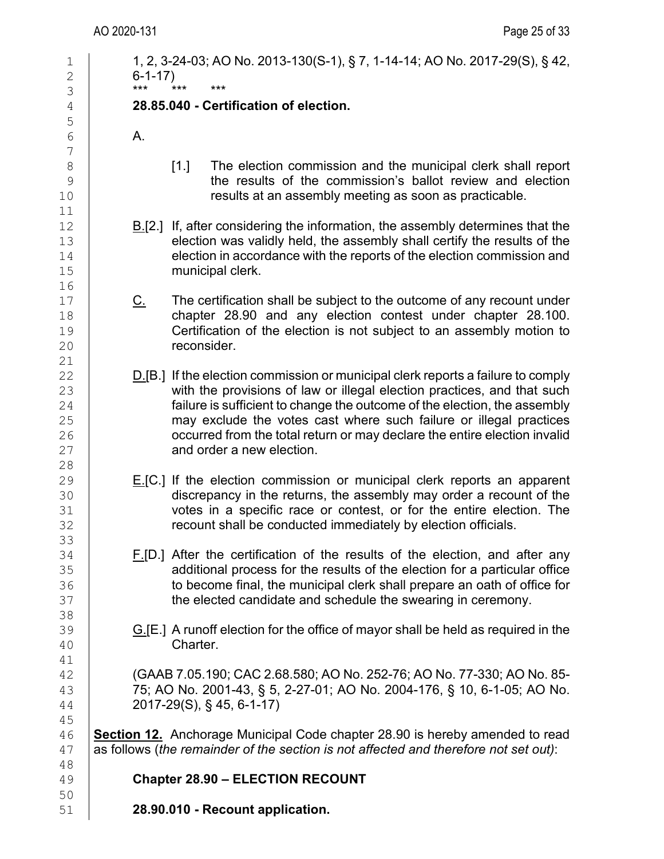$\begin{array}{c} 11 \\ 12 \end{array}$ 

16<br>17

 $\begin{array}{c} 21 \\ 22 \end{array}$ 

| $\mathbf 1$<br>$\mathbf{2}$ | $6 - 1 - 17$ | 1, 2, 3-24-03; AO No. 2013-130(S-1), § 7, 1-14-14; AO No. 2017-29(S), § 42,                                                                                                                                                                                |
|-----------------------------|--------------|------------------------------------------------------------------------------------------------------------------------------------------------------------------------------------------------------------------------------------------------------------|
| 3                           | ***          | $***$<br>$***$                                                                                                                                                                                                                                             |
| 4                           |              | 28.85.040 - Certification of election.                                                                                                                                                                                                                     |
| 5                           |              |                                                                                                                                                                                                                                                            |
| 6<br>$7\phantom{.0}$        | Α.           |                                                                                                                                                                                                                                                            |
| 8                           |              | The election commission and the municipal clerk shall report<br>$[1.]$                                                                                                                                                                                     |
| $\mathsf 9$<br>10           |              | the results of the commission's ballot review and election<br>results at an assembly meeting as soon as practicable.                                                                                                                                       |
| 11                          |              |                                                                                                                                                                                                                                                            |
| 12<br>13<br>14<br>15        |              | $B1[2.]$ If, after considering the information, the assembly determines that the<br>election was validly held, the assembly shall certify the results of the<br>election in accordance with the reports of the election commission and<br>municipal clerk. |
| 16<br>17<br>18              | <u>C.</u>    | The certification shall be subject to the outcome of any recount under<br>chapter 28.90 and any election contest under chapter 28.100.                                                                                                                     |
| 19<br>20                    |              | Certification of the election is not subject to an assembly motion to<br>reconsider.                                                                                                                                                                       |
| 21<br>22                    |              | $D$ [B.] If the election commission or municipal clerk reports a failure to comply                                                                                                                                                                         |
| 23                          |              | with the provisions of law or illegal election practices, and that such                                                                                                                                                                                    |
| 24                          |              | failure is sufficient to change the outcome of the election, the assembly                                                                                                                                                                                  |
| 25                          |              | may exclude the votes cast where such failure or illegal practices                                                                                                                                                                                         |
| 26                          |              | occurred from the total return or may declare the entire election invalid                                                                                                                                                                                  |
| 27                          |              | and order a new election.                                                                                                                                                                                                                                  |
| 28                          |              |                                                                                                                                                                                                                                                            |
| 29<br>30                    |              | $E.[C.]$ If the election commission or municipal clerk reports an apparent<br>discrepancy in the returns, the assembly may order a recount of the                                                                                                          |
| 31                          |              | votes in a specific race or contest, or for the entire election. The                                                                                                                                                                                       |
| 32<br>33                    |              | recount shall be conducted immediately by election officials.                                                                                                                                                                                              |
| 34                          |              | F.[D.] After the certification of the results of the election, and after any                                                                                                                                                                               |
| 35                          |              | additional process for the results of the election for a particular office                                                                                                                                                                                 |
| 36                          |              | to become final, the municipal clerk shall prepare an oath of office for                                                                                                                                                                                   |
| 37                          |              | the elected candidate and schedule the swearing in ceremony.                                                                                                                                                                                               |
| 38                          |              |                                                                                                                                                                                                                                                            |
| 39                          |              | $G$ [E.] A runoff election for the office of mayor shall be held as required in the                                                                                                                                                                        |
| 40                          |              | Charter.                                                                                                                                                                                                                                                   |
| 41                          |              | (GAAB 7.05.190; CAC 2.68.580; AO No. 252-76; AO No. 77-330; AO No. 85-                                                                                                                                                                                     |
| 42<br>43                    |              | 75; AO No. 2001-43, § 5, 2-27-01; AO No. 2004-176, § 10, 6-1-05; AO No.                                                                                                                                                                                    |
| 44                          |              | 2017-29(S), § 45, 6-1-17)                                                                                                                                                                                                                                  |
| 45                          |              |                                                                                                                                                                                                                                                            |
| 46                          |              | <b>Section 12.</b> Anchorage Municipal Code chapter 28.90 is hereby amended to read                                                                                                                                                                        |
| 47                          |              | as follows (the remainder of the section is not affected and therefore not set out):                                                                                                                                                                       |
| 48                          |              |                                                                                                                                                                                                                                                            |
| 49                          |              | <b>Chapter 28.90 - ELECTION RECOUNT</b>                                                                                                                                                                                                                    |
| 50                          |              |                                                                                                                                                                                                                                                            |
| 51                          |              | 28.90.010 - Recount application.                                                                                                                                                                                                                           |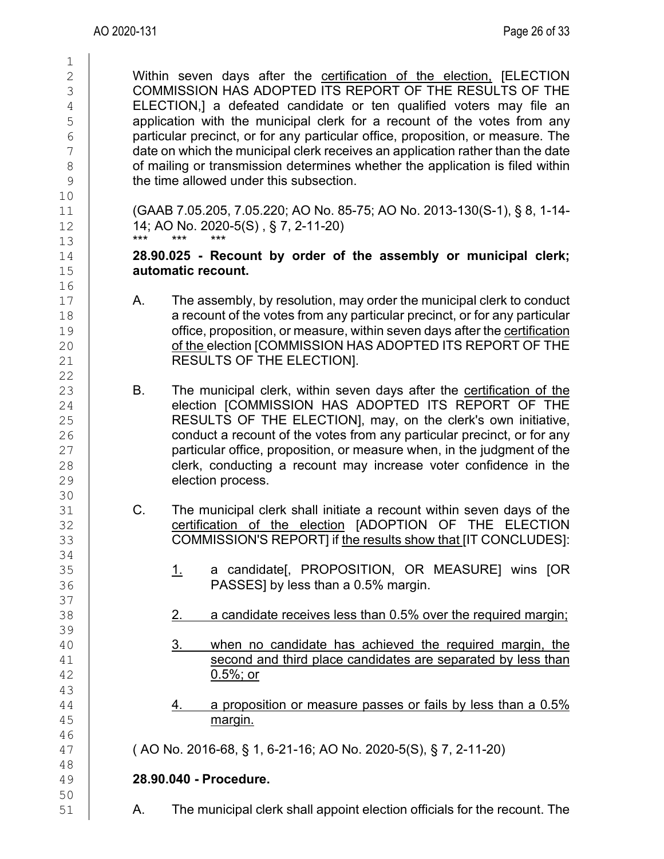$\frac{1}{2}$ <sup>2</sup> Within seven days after the **certification of the election**, [ELECTION<br><sup>3</sup> COMMISSION HAS ADOPTED ITS REPORT OF THE RESULTS OF THE 3 COMMISSION HAS ADOPTED ITS REPORT OF THE RESULTS OF THE 4<br>4 ELECTION.1 a defeated candidate or ten qualified voters may file an 4 ELECTION,] a defeated candidate or ten qualified voters may file an<br>5 application with the municipal clerk for a recount of the votes from any 5 application with the municipal clerk for a recount of the votes from any<br>6 particular precinct, or for any particular office, proposition, or measure. The  $\begin{array}{c|c} 6 & \text{particular} \end{array}$  particular precinct, or for any particular office, proposition, or measure. The date on which the municipal clerk receives an application rather than the date date on which the municipal clerk receives an application rather than the date<br>8 of mailing or transmission determines whether the application is filed within 8 of mailing or transmission determines whether the application is filed within<br>9 the time allowed under this subsection. the time allowed under this subsection. 10 11 (GAAB 7.05.205, 7.05.220; AO No. 85-75; AO No. 2013-130(S-1), § 8, 1-14-<br>12 14: AO No. 2020-5(S) , § 7, 2-11-20) 12 **14; AO No. 2020-5(S)**, § 7, 2-11-20) 13 \*\*\* \*\*\* \*\*\* 14 **28.90.025 - Recount by order of the assembly or municipal clerk;**  automatic recount. 16<br>17  $\begin{array}{c|c} 17 & A. & \text{The assembly, by resolution, may order the municipal clerk to conduct a record to the work of the votes from any particular precision.} \end{array}$ 18 a recount of the votes from any particular precinct, or for any particular<br>19 filosoposition. or measure, within seven days after the certification 19 office, proposition, or measure, within seven days after the <u>certification</u><br>20 of the election [COMMISSION HAS ADOPTED ITS REPORT OF THE of the election [COMMISSION HAS ADOPTED ITS REPORT OF THE 21 **RESULTS OF THE ELECTION**.  $\frac{22}{23}$ 23 B. The municipal clerk, within seven days after the certification of the 24 clection ICOMMISSION HAS ADOPTED ITS REPORT OF THE 24 election [COMMISSION HAS ADOPTED ITS REPORT OF THE  $_{25}$ <br>25 RESULTS OF THE ELECTIONI. may. on the clerk's own initiative. 25 RESULTS OF THE ELECTION], may, on the clerk's own initiative,<br>26 conduct a recount of the votes from any particular precinct, or for any conduct a recount of the votes from any particular precinct, or for any 27 **particular office, proposition, or measure when, in the judgment of the** 28 **clerk, conducting a recount may increase voter confidence in the** 28 clerk, conducting a recount may increase voter confidence in the<br>29 election process. election process. 30<br>31 31 C. The municipal clerk shall initiate a recount within seven days of the<br>32 certification of the election [ADOPTION OF THE ELECTION 32 certification of the election [ADOPTION OF THE ELECTION<br>33 COMMISSION'S REPORTI if the results show that IIT CONCLUDESI: COMMISSION'S REPORT] if the results show that [IT CONCLUDES]: 34<br>35 35 **1. a candidate[, PROPOSITION, OR MEASURE] wins [OR**<br>36 **1. Additional PASSESI by less than a 0.5% margin.** PASSES] by less than a 0.5% margin. 37<br>38 2. a candidate receives less than 0.5% over the required margin; 39<br>40 40 3. when no candidate has achieved the required margin, the second and third place candidates are separated by less than 41 second and third place candidates are separated by less than  $\frac{42}{42}$  $0.5\%$ ; or 43  $\begin{array}{r} 44 \ 44 \ 45 \end{array}$   $\begin{array}{r} 4. \ \text{a proposition or measure passes or fails by less than a 0.5\%} \end{array}$ margin. 46 47 ( AO No. 2016-68, § 1, 6-21-16; AO No. 2020-5(S), § 7, 2-11-20) 48 49 **28.90.040 - Procedure.** 50<br>51 51 A. The municipal clerk shall appoint election officials for the recount. The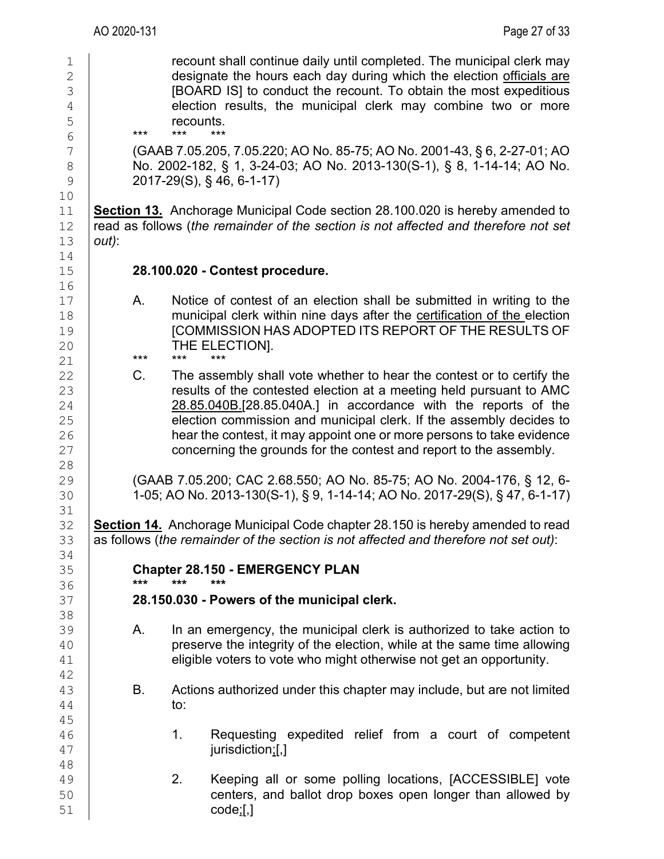1 recount shall continue daily until completed. The municipal clerk may<br>2 designate the hours each day during which the election officials are 2 designate the hours each day during which the election officials are<br>3 **Decision ISDARD** ISI to conduct the recount. To obtain the most expeditious [BOARD IS] to conduct the recount. To obtain the most expeditious  $\frac{4}{5}$  election results, the municipal clerk may combine two or more recounts.  $\begin{array}{c|c}\n5 & \text{recounts.} \\
6 & \text{***} & \text{***} & \text{***}\n\end{array}$ 6 \*\*\* \*\*\* \*\*\*  $\begin{array}{c|c} 7 & \text{(GAAB 7.05.205, 7.05.220; AO No. 85-75; AO No. 2001-43, § 6, 2-27-01; AO} \ \text{No. } 2002-182. \text{ § } 1, 3-24-03: AO No. 2013-130(S-1). \text{ § } 8, 1-14-14: AO No. \end{array}$ 8 No. 2002-182, § 1, 3-24-03; AO No. 2013-130(S-1), § 8, 1-14-14; AO No.<br>9 2017-29(S), § 46, 6-1-17)

9 2017-29(S), § 46, 6-1-17)

11 **Section 13.** Anchorage Municipal Code section 28.100.020 is hereby amended to 12 read as follows (the remainder of the section is not affected and therefore not set 12 read as follows (*the remainder of the section is not affected and therefore not set*  $13$  *out*): 13 *out)*:

### 15 **28.100.020 - Contest procedure.**

17 A. Notice of contest of an election shall be submitted in writing to the<br>18 **A.** municipal clerk within nine davs after the certification of the election 18 municipal clerk within nine days after the certification of the election<br>19 **COMMISSION HAS ADOPTED ITS REPORT OF THE RESULTS OF** 19 [COMMISSION HAS ADOPTED ITS REPORT OF THE RESULTS OF<br>20 THE ELECTION]. 20 THE ELECTION].

21 \*\*\* \*\*\* \*\*\*

22 C. The assembly shall vote whether to hear the contest or to certify the<br>23 contest of the contested election at a meeting held pursuant to AMC 23 can results of the contested election at a meeting held pursuant to AMC<br>24 28.85.040B.[28.85.040A.] in accordance with the reports of the 24 28.85.040B.[28.85.040A.] in accordance with the reports of the<br>25 detection commission and municipal clerk. If the assembly decides to 25 election commission and municipal clerk. If the assembly decides to<br>26 hear the contest. it may appoint one or more persons to take evidence 26 hear the contest, it may appoint one or more persons to take evidence<br>27 concerning the grounds for the contest and report to the assembly. concerning the grounds for the contest and report to the assembly.

29 (GAAB 7.05.200; CAC 2.68.550; AO No. 85-75; AO No. 2004-176, § 12, 6-<br>30 1-05; AO No. 2013-130(S-1), § 9, 1-14-14; AO No. 2017-29(S), § 47, 6-1-17) 30 1-05; AO No. 2013-130(S-1), § 9, 1-14-14; AO No. 2017-29(S), § 47, 6-1-17)

32 **Section 14.** Anchorage Municipal Code chapter 28.150 is hereby amended to read<br>33 as follows (*the remainder of the section is not affected and therefore not set out*): 33 as follows (*the remainder of the section is not affected and therefore not set out)*:

35 **Chapter 28.150 - EMERGENCY PLAN**<br>36 **First Condensation** \*\*\* \*\*\* \*\*\*

#### 36 **\*\*\* \*\*\* \*\*\*** 37 **28.150.030 - Powers of the municipal clerk.**

- 39 A. In an emergency, the municipal clerk is authorized to take action to<br>40 **A.** preserve the integrity of the election, while at the same time allowing 40 preserve the integrity of the election, while at the same time allowing<br>41 eligible voters to vote who might otherwise not get an opportunity. eligible voters to vote who might otherwise not get an opportunity.
- $\begin{array}{c|c} 43 & B. & \text{Actions authorized under this chapter may include, but are not limited to: } \end{array}$ to:
- 1. Requesting expedited relief from a court of competent 47 jurisdiction;[,]
- 49 2. Keeping all or some polling locations, [ACCESSIBLE] vote<br>50 centers, and ballot drop boxes open longer than allowed by 50 centers, and ballot drop boxes open longer than allowed by<br>51 code:[.]  $code;[]$

10 14<br>15 16<br>17

28<br>29

31<br>32

34<br>35

38

42<br>43

45

48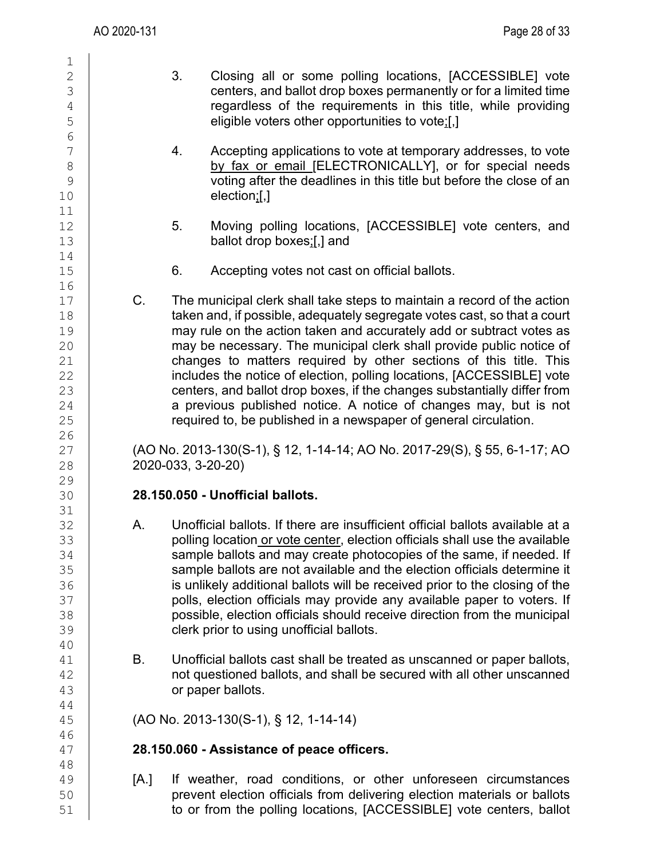$\frac{1}{2}$ 

| 3                                    |  |
|--------------------------------------|--|
| 4567<br>8<br>9                       |  |
| $\overline{10}$<br>$\mathbf{1}$<br>1 |  |
| 12134567                             |  |
|                                      |  |
| 18<br>19<br>20                       |  |
| 222345678901<br>22222223901          |  |
|                                      |  |
| 32                                   |  |
| 33<br>34<br>35                       |  |
| 36<br>37<br>38                       |  |
| 39<br>40<br>41<br>42                 |  |
| 43<br>44<br>45                       |  |
| 46<br>47<br>48                       |  |
| 49<br>50                             |  |

- 3. Closing all or some polling locations, [ACCESSIBLE] vote centers, and ballot drop boxes permanently or for a limited time regardless of the requirements in this title, while providing eligible voters other opportunities to vote;[,]
- 4. Accepting applications to vote at temporary addresses, to vote by fax or email [ELECTRONICALLY], or for special needs voting after the deadlines in this title but before the close of an  $e$ lection; $[]$
- 5. Moving polling locations, [ACCESSIBLE] vote centers, and ballot drop boxes;[,] and
- 6. Accepting votes not cast on official ballots.
- 17 C. The municipal clerk shall take steps to maintain a record of the action taken and, if possible, adequately segregate votes cast, so that a court may rule on the action taken and accurately add or subtract votes as may be necessary. The municipal clerk shall provide public notice of changes to matters required by other sections of this title. This includes the notice of election, polling locations, [ACCESSIBLE] vote centers, and ballot drop boxes, if the changes substantially differ from a previous published notice. A notice of changes may, but is not required to, be published in a newspaper of general circulation.

27 (AO No. 2013-130(S-1), § 12, 1-14-14; AO No. 2017-29(S), § 55, 6-1-17; AO 28 2020-033, 3-20-20)

## 30 **28.150.050 - Unofficial ballots.**

- A. Unofficial ballots. If there are insufficient official ballots available at a 33 polling location or vote center, election officials shall use the available sample ballots and may create photocopies of the same, if needed. If sample ballots are not available and the election officials determine it is unlikely additional ballots will be received prior to the closing of the polls, election officials may provide any available paper to voters. If possible, election officials should receive direction from the municipal clerk prior to using unofficial ballots.
- B. Unofficial ballots cast shall be treated as unscanned or paper ballots, not questioned ballots, and shall be secured with all other unscanned or paper ballots.

45 (AO No. 2013-130(S-1), § 12, 1-14-14)

# 47 **28.150.060 - Assistance of peace officers.**

[A.] If weather, road conditions, or other unforeseen circumstances 50 prevent election officials from delivering election materials or ballots<br>51 **budge of the contropy of the polling locations**, [ACCESSIBLE] vote centers, ballot to or from the polling locations, [ACCESSIBLE] vote centers, ballot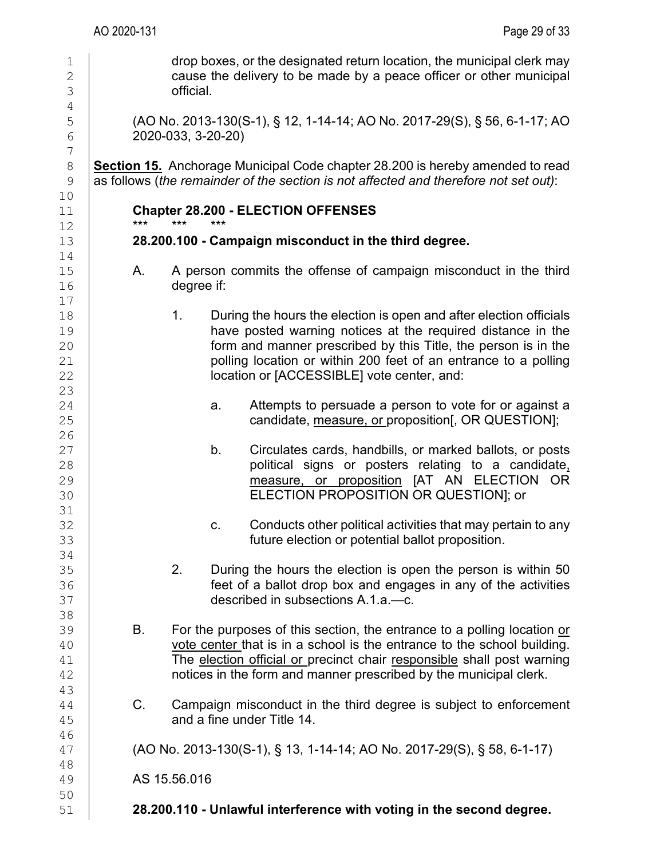1 drop boxes, or the designated return location, the municipal clerk may<br>2 cause the delivery to be made by a peace officer or other municipal  $\begin{array}{c|c}\n2 & \text{cause the delivery to be made by a peace officer or other municipal}\n\end{array}$ official. 4<br>5 5 (AO No. 2013-130(S-1), § 12, 1-14-14; AO No. 2017-29(S), § 56, 6-1-17; AO<br>6 2020-033, 3-20-20) 6 2020-033, 3-20-20)  $\begin{array}{c} 7 \\ 8 \end{array}$ 8 **Section 15.** Anchorage Municipal Code chapter 28.200 is hereby amended to read<br>9 as follows (the remainder of the section is not affected and therefore not set out): 9 as follows (*the remainder of the section is not affected and therefore not set out)*: 10 11 **Chapter 28.200 - ELECTION OFFENSES**<br>12 12 \*\*\* \*\*\* \*\*\* 13 **28.200.100 - Campaign misconduct in the third degree.**  $\begin{array}{c} 14 \\ 15 \end{array}$ 15 A. A person commits the offense of campaign misconduct in the third<br>16 degree if: degree if:  $\begin{array}{c} 17 \\ 18 \end{array}$ 18 18 1. During the hours the election is open and after election officials<br>19 19 19 have posted warning notices at the required distance in the<br>20 **have posted warning notices at the required distance in the** form and manner prescribed by this Title, the person is in the 21 polling location or within 200 feet of an entrance to a polling<br>22 location or IACCESSIBLEI vote center, and: location or [ACCESSIBLE] vote center, and: 23  $\begin{array}{c|c} 24 & \text{a.} & \text{Attemps to persuade a person to vote for or against a candidate.} \end{array}$ 25 candidate, measure, or proposition[, OR QUESTION]; 26 27 b. Circulates cards, handbills, or marked ballots, or posts<br>28 **b. Circulates cards, handbills, or marked ballots, or posts** 28 political signs or posters relating to a candidate<u>.</u><br>29 **political signs or proposition [AT\_AN\_ELECTION\_OR** 29 measure, or proposition [AT AN ELECTION OR 30 ELECTION PROPOSITION OR QUESTION]; or 31<br>32 32 c. Conducts other political activities that may pertain to any<br>33 **c.** Conducts other political activities that may pertain to any future election or potential ballot proposition. 34<br>35 35 2. During the hours the election is open the person is within 50 36 **feet of a ballot drop box and engages in any of the activities**<br>37 **for all described in subsections A.1.a.—c.** 37 described in subsections A.1.a.—c. 38 39 B. For the purposes of this section, the entrance to a polling location or vote center that is in a school is the entrance to the school building. 40 vote center that is in a school is the entrance to the school building.<br>41 The election official or precinct chair responsible shall post warning 41 The <u>election official or p</u>recinct chair responsible shall post warning<br>42 **The stratust of the form** and manner prescribed by the municipal clerk. notices in the form and manner prescribed by the municipal clerk. 43  $\begin{array}{c|c} 44 & C. & \text{Cammain} \end{array}$  C. Campaign misconduct in the third degree is subject to enforcement  $\begin{array}{c} 45 & \text{and a fine under Title 14.} \end{array}$ and a fine under Title 14. 46 47 (AO No. 2013-130(S-1), § 13, 1-14-14; AO No. 2017-29(S), § 58, 6-1-17) 48 49 AS 15.56.016 50<br>51 51 **28.200.110 - Unlawful interference with voting in the second degree.**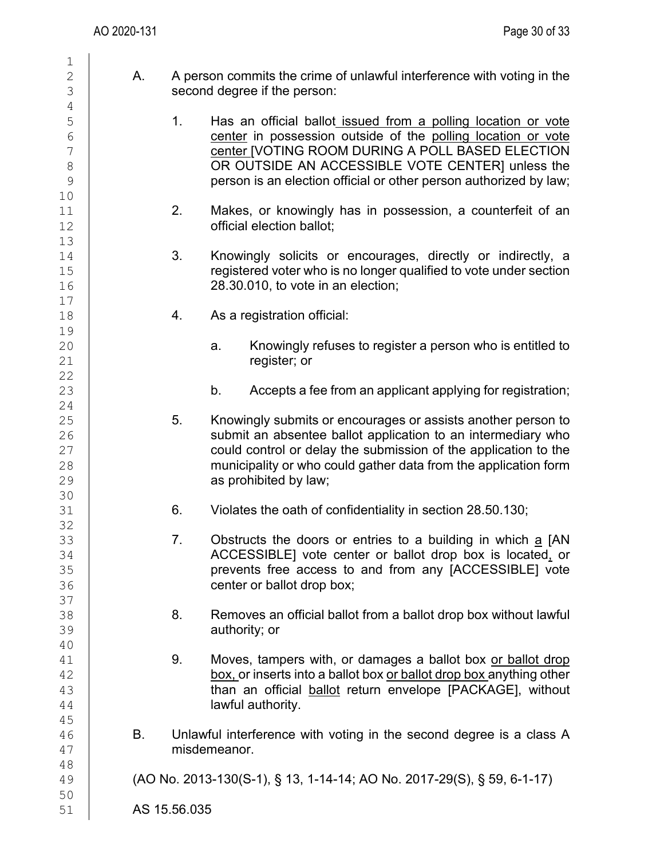| $\mathbf 1$                                               |              |                                                                                                        |                                                                                                                                                                                                                                                                                                            |  |
|-----------------------------------------------------------|--------------|--------------------------------------------------------------------------------------------------------|------------------------------------------------------------------------------------------------------------------------------------------------------------------------------------------------------------------------------------------------------------------------------------------------------------|--|
| $\sqrt{2}$<br>$\mathfrak S$                               | А.           | A person commits the crime of unlawful interference with voting in the<br>second degree if the person: |                                                                                                                                                                                                                                                                                                            |  |
| $\overline{4}$                                            |              |                                                                                                        |                                                                                                                                                                                                                                                                                                            |  |
| $\mathsf S$<br>$\sqrt{6}$<br>$\overline{7}$<br>$8\,$<br>9 |              | 1.                                                                                                     | Has an official ballot issued from a polling location or vote<br>center in possession outside of the polling location or vote<br>center [VOTING ROOM DURING A POLL BASED ELECTION<br>OR OUTSIDE AN ACCESSIBLE VOTE CENTER] unless the<br>person is an election official or other person authorized by law; |  |
| 10<br>11<br>12                                            |              | 2.                                                                                                     | Makes, or knowingly has in possession, a counterfeit of an<br>official election ballot;                                                                                                                                                                                                                    |  |
| 13<br>14<br>15<br>16                                      |              | 3.                                                                                                     | Knowingly solicits or encourages, directly or indirectly, a<br>registered voter who is no longer qualified to vote under section<br>28.30.010, to vote in an election;                                                                                                                                     |  |
| 17<br>18                                                  |              | 4.                                                                                                     | As a registration official:                                                                                                                                                                                                                                                                                |  |
| 19<br>20<br>21<br>22                                      |              |                                                                                                        | Knowingly refuses to register a person who is entitled to<br>a.<br>register; or                                                                                                                                                                                                                            |  |
| 23<br>24                                                  |              |                                                                                                        | b.<br>Accepts a fee from an applicant applying for registration;                                                                                                                                                                                                                                           |  |
| 25<br>26<br>27<br>28<br>29                                |              | 5.                                                                                                     | Knowingly submits or encourages or assists another person to<br>submit an absentee ballot application to an intermediary who<br>could control or delay the submission of the application to the<br>municipality or who could gather data from the application form<br>as prohibited by law;                |  |
| 30<br>31<br>32                                            |              | 6.                                                                                                     | Violates the oath of confidentiality in section 28.50.130;                                                                                                                                                                                                                                                 |  |
| 33<br>34<br>35<br>36                                      |              | 7.                                                                                                     | Obstructs the doors or entries to a building in which a [AN<br>ACCESSIBLE] vote center or ballot drop box is located, or<br>prevents free access to and from any [ACCESSIBLE] vote<br>center or ballot drop box;                                                                                           |  |
| 37<br>38<br>39                                            |              | 8.                                                                                                     | Removes an official ballot from a ballot drop box without lawful<br>authority; or                                                                                                                                                                                                                          |  |
| 40<br>41<br>42<br>43<br>44                                |              | 9.                                                                                                     | Moves, tampers with, or damages a ballot box or ballot drop<br>box, or inserts into a ballot box or ballot drop box anything other<br>than an official ballot return envelope [PACKAGE], without<br>lawful authority.                                                                                      |  |
| 45<br>46<br>47                                            | В.           |                                                                                                        | Unlawful interference with voting in the second degree is a class A<br>misdemeanor.                                                                                                                                                                                                                        |  |
| 48<br>49                                                  |              |                                                                                                        | (AO No. 2013-130(S-1), § 13, 1-14-14; AO No. 2017-29(S), § 59, 6-1-17)                                                                                                                                                                                                                                     |  |
| 50<br>51                                                  | AS 15.56.035 |                                                                                                        |                                                                                                                                                                                                                                                                                                            |  |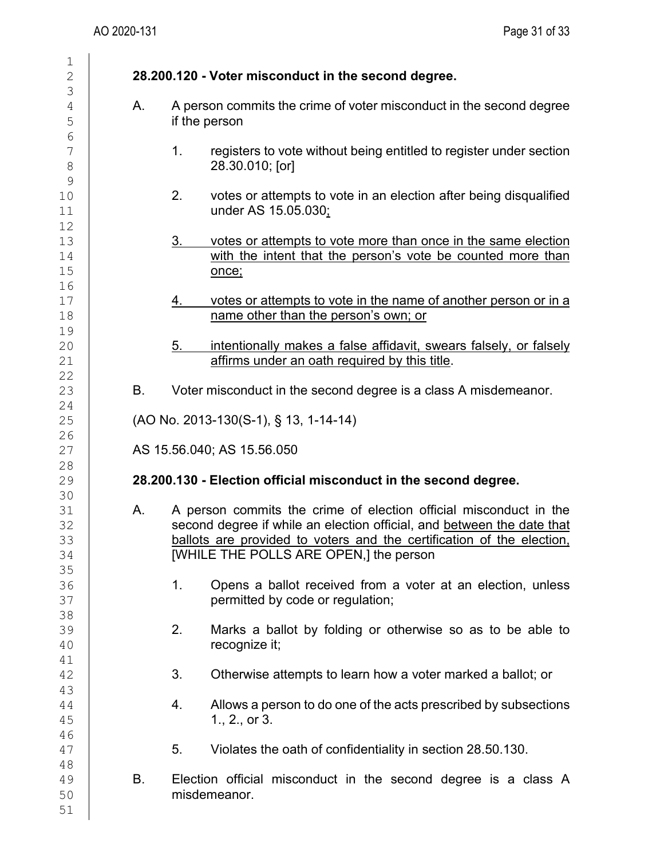| Α. | A person commits the crime of voter misconduct in the second degree<br>if the person                                                                                                                                                                           |
|----|----------------------------------------------------------------------------------------------------------------------------------------------------------------------------------------------------------------------------------------------------------------|
|    | registers to vote without being entitled to register under section<br>1.<br>28.30.010; [or]                                                                                                                                                                    |
|    | 2.<br>votes or attempts to vote in an election after being disqualified<br>under AS 15.05.030;                                                                                                                                                                 |
|    | votes or attempts to vote more than once in the same election<br><u>3.</u><br>with the intent that the person's vote be counted more than<br>once;                                                                                                             |
|    | votes or attempts to vote in the name of another person or in a<br><u>4.</u><br>name other than the person's own; or                                                                                                                                           |
|    | intentionally makes a false affidavit, swears falsely, or falsely<br>5.<br>affirms under an oath required by this title.                                                                                                                                       |
| Β. | Voter misconduct in the second degree is a class A misdemeanor.                                                                                                                                                                                                |
|    | (AO No. 2013-130(S-1), § 13, 1-14-14)                                                                                                                                                                                                                          |
|    | AS 15.56.040; AS 15.56.050                                                                                                                                                                                                                                     |
|    | 28.200.130 - Election official misconduct in the second degree.                                                                                                                                                                                                |
|    |                                                                                                                                                                                                                                                                |
| Α. | A person commits the crime of election official misconduct in the<br>second degree if while an election official, and between the date that<br>ballots are provided to voters and the certification of the election.<br>[WHILE THE POLLS ARE OPEN,] the person |
|    | 1.<br>Opens a ballot received from a voter at an election, unless<br>permitted by code or regulation;                                                                                                                                                          |
|    | 2.<br>Marks a ballot by folding or otherwise so as to be able to<br>recognize it;                                                                                                                                                                              |
|    | 3.<br>Otherwise attempts to learn how a voter marked a ballot; or                                                                                                                                                                                              |
|    | Allows a person to do one of the acts prescribed by subsections<br>4.<br>1., 2., or 3.                                                                                                                                                                         |
|    | Violates the oath of confidentiality in section 28.50.130.<br>5.                                                                                                                                                                                               |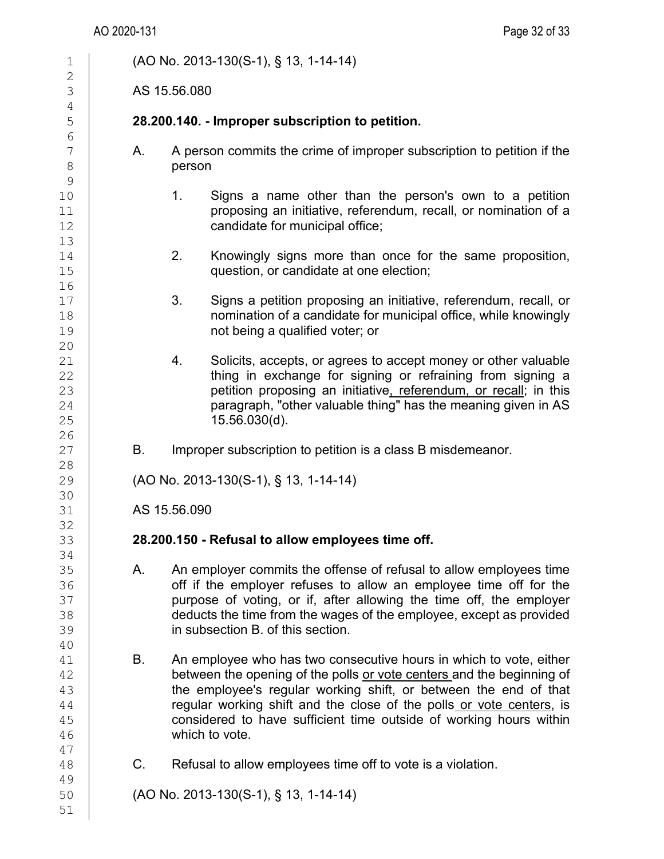1 (AO No. 2013-130(S-1), § 13, 1-14-14)  $\frac{2}{3}$ AS 15.56.080 4<br>5 5 **28.200.140. - Improper subscription to petition.** 6<br>7  $\begin{array}{c|c}\n7 & A. & A person commits the crime of improper subscription to petition if the person$ person  $\begin{array}{c} 9 \\ 10 \end{array}$ 1. Signs a name other than the person's own to a petition 11 **proposing an initiative, referendum, recall, or nomination of a**<br>12 **candidate for municipal office:** candidate for municipal office; 13 14 2. Knowingly signs more than once for the same proposition,<br>15 **2.** Guestion, or candidate at one election: question, or candidate at one election;  $\begin{array}{c} 16 \\ 17 \end{array}$ 17 3. Signs a petition proposing an initiative, referendum, recall, or<br>18 18 18 18 **nomination of a candidate for municipal office, while knowingly**<br>19 **hot being a qualified voter: or** not being a qualified voter; or 20<br>21 21 21 4. Solicits, accepts, or agrees to accept money or other valuable<br>22 thing in exchange for signing or refraining from signing a 22 **thing in exchange for signing or refraining from signing a**<br>23 **the exchange for signing or referendum** or recall: in this 23 **petition proposing an initiative<u>, referendum, or recall</u>; in this**<br>24 **paragraph.** "other valuable thing" has the meaning given in AS 24 **paragraph, "other valuable thing" has the meaning given in AS**<br>25 **15.56.030(d)**. 25 15.56.030(d).  $\frac{26}{27}$ B. Improper subscription to petition is a class B misdemeanor.  $\begin{array}{c} 28 \\ 29 \end{array}$ 29 (AO No. 2013-130(S-1), § 13, 1-14-14) 30<br>31 AS 15.56.090 32<br>33 33 **28.200.150 - Refusal to allow employees time off.** 34<br>35 35 A. An employer commits the offense of refusal to allow employees time<br>36 **A. An employer refuses to allow an employee time off for the** 36 off if the employer refuses to allow an employee time off for the state off for the state of the employer 37 purpose of voting, or if, after allowing the time off, the employer<br>38 deducts the time from the wages of the employee, except as provided 38 deducts the time from the wages of the employee, except as provided<br>39 in subsection B. of this section. in subsection B. of this section. 40<br>41  $\begin{array}{c|c} 41 & \text{B.} & \text{An employee who has two consecutive hours in which to vote, either} \\ 42 & \text{between the opening of the polls or vote centers and the beginning of} \end{array}$ 42 between the opening of the polls or vote centers and the beginning of 43 between the employee's reqular working shift. or between the end of that 43 the employee's regular working shift, or between the end of that<br>44 reqular working shift and the close of the polls or vote centers, is 44 **regular working shift and the close of the polls or vote centers, is**<br>45 **considered to have sufficient time outside of working hours within** 45 considered to have sufficient time outside of working hours within 46 which to vote. 47 C. Refusal to allow employees time off to vote is a violation. 49 50 (AO No. 2013-130(S-1), § 13, 1-14-14) 51